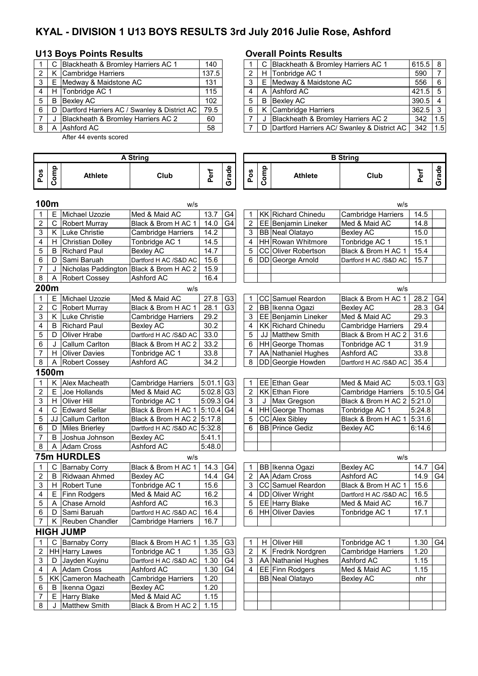# **KYAL - DIVISION 1 U13 BOYS RESULTS 3rd July 2016 Julie Rose, Ashford**

# **U13 Boys Points Results Concernsive Contrary Points Results**

|   |   | C Blackheath & Bromley Harriers AC 1             | 140   |  | C Blackheath & Bromley Harriers AC 1          | $615.5$ 8 |     |
|---|---|--------------------------------------------------|-------|--|-----------------------------------------------|-----------|-----|
|   |   | K Cambridge Harriers                             | 137.5 |  | H Tonbridge AC 1                              | 590       |     |
| 3 |   | E Medway & Maidstone AC                          | 131   |  | E Medway & Maidstone AC                       | 556       | l 6 |
|   |   | H Tonbridge AC 1                                 | 115   |  | A Ashford AC                                  | $421.5$ 5 |     |
| 5 | B | Bexley AC                                        | 102   |  | <b>B</b> Bexlev AC                            | $390.5$ 4 |     |
| 6 |   | D   Dartford Harriers AC / Swanley & District AC | 79.5  |  | K Cambridge Harriers                          | $362.5$ 3 |     |
|   |   | Blackheath & Bromley Harriers AC 2               | 60    |  | Blackheath & Bromley Harriers AC 2            | 342       | 1.5 |
|   |   | A Ashford AC                                     | 58    |  | D Dartford Harriers AC/ Swanley & District AC | 342       | 1.5 |
|   |   |                                                  |       |  |                                               |           |     |

After 44 events scored

|       |       | C Blackheath & Bromley Harriers AC 1               | 140   |  | C Blackheath & Bromley Harriers AC 1          | $615.5$ 8 |     |
|-------|-------|----------------------------------------------------|-------|--|-----------------------------------------------|-----------|-----|
|       |       | 2   K Cambridge Harriers                           | 137.5 |  | H Tonbridge AC 1                              | 590       |     |
|       | 3 I E | Medway & Maidstone AC                              | 131   |  | E Medway & Maidstone AC                       | 556       | - 6 |
|       |       | 4   H  Tonbridge AC 1                              | 115   |  | A Ashford AC                                  | $421.5$ 5 |     |
| 5 I B |       | Bexley AC                                          | 102   |  | <b>B</b> Bexlev AC                            | $390.5$ 4 |     |
|       |       | 6   D Dartford Harriers AC / Swanley & District AC | 79.5  |  | K Cambridge Harriers                          | $362.5$ 3 |     |
|       |       | Blackheath & Bromley Harriers AC 2                 | 60    |  | Blackheath & Bromley Harriers AC 2            | 342       | 1.5 |
|       |       | 8 A Ashford AC                                     | 58    |  | D Dartford Harriers AC/ Swanley & District AC | 342       | 1.5 |

|                           | <b>A String</b> |                                         |                           |                         |                |                         |      |                           | <b>B</b> String            |                         |       |
|---------------------------|-----------------|-----------------------------------------|---------------------------|-------------------------|----------------|-------------------------|------|---------------------------|----------------------------|-------------------------|-------|
| Pos                       | Comp            | <b>Athlete</b>                          | Club                      | Perf                    | Grade          | Pos                     | Comp | <b>Athlete</b>            | Club                       | Perf                    | Grade |
|                           | 100m            |                                         | w/s                       |                         |                |                         |      |                           | w/s                        |                         |       |
| 1                         | E               | Michael Uzozie                          | Med & Maid AC             | 13.7                    | G <sub>4</sub> | 1                       |      | <b>KK Richard Chinedu</b> | <b>Cambridge Harriers</b>  | 14.5                    |       |
| 2                         | С               | <b>Robert Murray</b>                    | Black & Brom H AC 1       | 14.0                    | G <sub>4</sub> | 2                       |      | EE Benjamin Lineker       | Med & Maid AC              | 14.8                    |       |
| 3                         | Κ               | Luke Christie                           | <b>Cambridge Harriers</b> | 14.2                    |                | 3                       |      | <b>BB</b> Neal Olatayo    | <b>Bexley AC</b>           | 15.0                    |       |
| 4                         | н               | Christian Dolley                        | Tonbridge AC 1            | 14.5                    |                | 4                       |      | HH Rowan Whitmore         | Tonbridge AC 1             | 15.1                    |       |
| 5                         | B               | <b>Richard Paul</b>                     | <b>Bexley AC</b>          | 14.7                    |                | 5                       |      | CC Oliver Robertson       | Black & Brom H AC 1        | 15.4                    |       |
| 6                         | D               | Sami Baruah                             | Dartford H AC /S&D AC     | 15.6                    |                | 6                       |      | DD George Arnold          | Dartford H AC /S&D AC      | 15.7                    |       |
| $\overline{7}$            | J               | Nicholas Paddington Black & Brom H AC 2 |                           | 15.9                    |                |                         |      |                           |                            |                         |       |
| 8                         | Α               | <b>Robert Cossey</b>                    | Ashford AC                | 16.4                    |                |                         |      |                           |                            |                         |       |
|                           | 200m            |                                         | w/s                       |                         |                |                         |      |                           | w/s                        |                         |       |
| 1                         | Е               | Michael Uzozie                          | Med & Maid AC             | 27.8                    | G <sub>3</sub> | 1                       |      | CC Samuel Reardon         | Black & Brom H AC 1        | 28.2                    | G4    |
| $\overline{2}$            | C               | <b>Robert Murray</b>                    | Black & Brom H AC 1       | 28.1                    | G <sub>3</sub> | $\overline{2}$          |      | BB Ikenna Ogazi           | <b>Bexley AC</b>           | 28.3                    | G4    |
| 3                         | K.              | Luke Christie                           | <b>Cambridge Harriers</b> | 29.2                    |                | 3                       |      | EE Benjamin Lineker       | Med & Maid AC              | 29.3                    |       |
| 4                         | B               | <b>Richard Paul</b>                     | <b>Bexley AC</b>          | 30.2                    |                | 4                       |      | <b>KK Richard Chinedu</b> | Cambridge Harriers         | 29.4                    |       |
| 5                         | D               | Oliver Hrabe                            | Dartford H AC /S&D AC     | 33.0                    |                | 5                       |      | JJ Matthew Smith          | Black & Brom H AC 2        | 31.6                    |       |
| 6                         | J               | Callum Carlton                          | Black & Brom H AC 2       | 33.2                    |                | 6                       |      | HH George Thomas          | Tonbridge AC 1             | 31.9                    |       |
| $\overline{7}$            | H.              | <b>Oliver Davies</b>                    | Tonbridge AC 1            | 33.8                    |                | 7                       |      | AA Nathaniel Hughes       | Ashford AC                 | 33.8                    |       |
| 8                         | Α               | <b>Robert Cossey</b>                    | Ashford AC                | 34.2                    |                | 8                       |      | DD Georgie Howden         | Dartford H AC /S&D AC      | 35.4                    |       |
|                           | 1500m           |                                         |                           |                         |                |                         |      |                           |                            |                         |       |
| 1                         |                 | K Alex Macheath                         | <b>Cambridge Harriers</b> | $5:01.1$ G3             |                | 1                       |      | EE Ethan Gear             | Med & Maid AC              | $5:03.1$ G <sub>3</sub> |       |
| $\overline{c}$            | E               | Joe Hollands                            | Med & Maid AC             | $5:02.8$ G <sub>3</sub> |                | $\overline{2}$          |      | <b>KK Ethan Fiore</b>     | Cambridge Harriers         | $5:10.5$ G4             |       |
| 3                         | H.              | <b>Oliver Hill</b>                      | Tonbridge AC 1            | 5:09.3 G4               |                | 3                       |      | Max Gregson               | Black & Brom H AC 2 5:21.0 |                         |       |
| 4                         | C               | <b>Edward Sellar</b>                    | Black & Brom H AC 1       | 5:10.4 G4               |                | 4                       |      | HH George Thomas          | Tonbridge AC 1             | 5:24.8                  |       |
| 5                         | JJ              | Callum Carlton                          | Black & Brom H AC 2       | 5:17.8                  |                | 5                       |      | <b>CC</b> Alex Sibley     | Black & Brom H AC 1        | 5:31.6                  |       |
| 6                         | D               | <b>Miles Brierley</b>                   | Dartford H AC /S&D AC     | 5:32.8                  |                | 6                       |      | <b>BB</b> Prince Gediz    | <b>Bexley AC</b>           | 6:14.6                  |       |
| $\overline{7}$            | B               | Joshua Johnson                          | <b>Bexley AC</b>          | 5:41.1                  |                |                         |      |                           |                            |                         |       |
| 8                         | Α               | <b>Adam Cross</b>                       | Ashford AC                | 5:48.0                  |                |                         |      |                           |                            |                         |       |
|                           |                 | <b>75m HURDLES</b>                      | w/s                       |                         |                |                         |      |                           | w/s                        |                         |       |
| 1                         | C               | <b>Barnaby Corry</b>                    | Black & Brom H AC 1       | 14.3                    | G4             | 1                       |      | BB Ikenna Ogazi           | Bexley AC                  | 14.7                    | G4    |
| $\boldsymbol{2}$          | B               | Ridwaan Ahmed                           | <b>Bexley AC</b>          | 14.4                    | G <sub>4</sub> | 2                       |      | AA Adam Cross             | Ashford AC                 | 14.9                    | G4    |
| 3                         | H               | <b>Robert Tune</b>                      | Tonbridge AC 1            | 15.6                    |                | 3                       |      | CC Samuel Reardon         | Black & Brom H AC 1        | 15.6                    |       |
| 4                         | Е               | <b>Finn Rodgers</b>                     | Med & Maid AC             | 16.2                    |                | $\overline{4}$          |      | <b>DD</b> Oliver Wright   | Dartford H AC /S&D AC      | 16.5                    |       |
| 5                         | Α               | Chase Arnold                            | Ashford AC                | 16.3                    |                | 5                       |      | EE Harry Blake            | Med & Maid AC              | 16.7                    |       |
| 6                         | D               | Sami Baruah                             | Dartford H AC /S&D AC     | 16.4                    |                | 6                       |      | <b>HH</b> Oliver Davies   | Tonbridge AC 1             | 17.1                    |       |
| $\overline{7}$            |                 | K Reuben Chandler                       | <b>Cambridge Harriers</b> | 16.7                    |                |                         |      |                           |                            |                         |       |
|                           |                 | <b>HIGH JUMP</b>                        |                           |                         |                |                         |      |                           |                            |                         |       |
| 1                         |                 | C Barnaby Corry                         | Black & Brom H AC 1       | 1.35                    | G <sub>3</sub> | 1                       |      | H Oliver Hill             | Tonbridge AC 1             | 1.30                    | G4    |
| 2                         |                 | HH Harry Lawes                          | Tonbridge AC 1            | 1.35                    | G3             | $\overline{\mathbf{c}}$ |      | K Fredrik Nordgren        | Cambridge Harriers         | 1.20                    |       |
| $\ensuremath{\mathsf{3}}$ | D               | Jayden Kuyinu                           | Dartford H AC /S&D AC     | 1.30                    | G <sub>4</sub> | 3                       |      | AA Nathaniel Hughes       | Ashford AC                 | 1.15                    |       |
| 4                         | A               | <b>Adam Cross</b>                       | Ashford AC                | 1.30                    | G <sub>4</sub> | 4                       |      | EE Finn Rodgers           | Med & Maid AC              | 1.15                    |       |
| 5                         |                 | KK Cameron Macheath                     | Cambridge Harriers        | 1.20                    |                |                         |      | BB Neal Olatayo           | Bexley AC                  | nhr                     |       |
| 6                         | B               | Ikenna Ogazi                            | <b>Bexley AC</b>          | 1.20                    |                |                         |      |                           |                            |                         |       |
| $\overline{7}$            | Е               | <b>Harry Blake</b>                      | Med & Maid AC             | 1.15                    |                |                         |      |                           |                            |                         |       |
| 8                         | J               | Matthew Smith                           | Black & Brom H AC 2       | 1.15                    |                |                         |      |                           |                            |                         |       |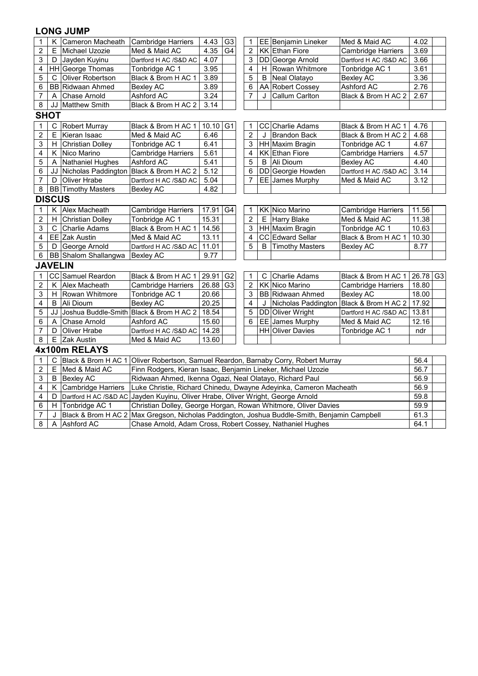| $\mathbf 1$    | Κ              | Cameron Macheath                        | G <sub>3</sub><br><b>Cambridge Harriers</b><br>4.43<br>$\mathbf{1}$<br>EE Benjamin Lineker<br>Med & Maid AC<br>4.02<br>$\overline{2}$<br>Med & Maid AC<br>4.35<br>G4<br>KK Ethan Fiore<br><b>Cambridge Harriers</b> |                                                                                             |                |                |    |                          |                           |          |  |  |  |  |
|----------------|----------------|-----------------------------------------|---------------------------------------------------------------------------------------------------------------------------------------------------------------------------------------------------------------------|---------------------------------------------------------------------------------------------|----------------|----------------|----|--------------------------|---------------------------|----------|--|--|--|--|
| 2              | Е              | Michael Uzozie                          |                                                                                                                                                                                                                     |                                                                                             |                |                |    |                          |                           | 3.69     |  |  |  |  |
| 3              | D              | Jayden Kuyinu                           | Dartford H AC /S&D AC                                                                                                                                                                                               | 4.07                                                                                        |                | 3              |    | DD George Arnold         | Dartford H AC /S&D AC     | 3.66     |  |  |  |  |
| 4              |                | HH George Thomas                        | Tonbridge AC 1                                                                                                                                                                                                      | 3.95                                                                                        |                | 4              | H. | Rowan Whitmore           | Tonbridge AC 1            | 3.61     |  |  |  |  |
| 5              | C              | Oliver Robertson                        | Black & Brom H AC 1                                                                                                                                                                                                 | 3.89                                                                                        |                | 5              | B  | Neal Olatayo             | <b>Bexley AC</b>          | 3.36     |  |  |  |  |
| 6              |                | <b>BB</b> Ridwaan Ahmed                 | <b>Bexley AC</b>                                                                                                                                                                                                    | 3.89                                                                                        |                | 6              |    | AA Robert Cossey         | Ashford AC                | 2.76     |  |  |  |  |
| 7              | A              | <b>Chase Arnold</b>                     | Ashford AC                                                                                                                                                                                                          | 3.24                                                                                        |                | 7              | J  | <b>Callum Carlton</b>    | Black & Brom H AC 2       | 2.67     |  |  |  |  |
| $\bf 8$        | JJ             | Matthew Smith                           | Black & Brom H AC 2                                                                                                                                                                                                 | 3.14                                                                                        |                |                |    |                          |                           |          |  |  |  |  |
|                | <b>SHOT</b>    |                                         |                                                                                                                                                                                                                     |                                                                                             |                |                |    |                          |                           |          |  |  |  |  |
| 1              | $\mathsf C$    | Robert Murray                           | Black & Brom H AC 1                                                                                                                                                                                                 | 10.10                                                                                       | G1             | 1              |    | CC Charlie Adams         | Black & Brom H AC 1       | 4.76     |  |  |  |  |
| $\overline{c}$ | E              | Kieran Isaac                            | Med & Maid AC                                                                                                                                                                                                       | 6.46                                                                                        |                | $\overline{2}$ | J  | <b>Brandon Back</b>      | Black & Brom H AC 2       | 4.68     |  |  |  |  |
| 3              | Н              | <b>Christian Dolley</b>                 | Tonbridge AC 1                                                                                                                                                                                                      | 6.41                                                                                        |                | 3              |    | HH Maxim Bragin          | Tonbridge AC 1            | 4.67     |  |  |  |  |
| 4              | Κ              | Nico Marino                             | Cambridge Harriers                                                                                                                                                                                                  | 5.61                                                                                        |                | 4              |    | <b>KK Ethan Fiore</b>    | Cambridge Harriers        | 4.57     |  |  |  |  |
| 5              | A              | Nathaniel Hughes                        | Ashford AC                                                                                                                                                                                                          | 5.41                                                                                        |                | 5              | B  | Ali Dioum                | <b>Bexley AC</b>          | 4.40     |  |  |  |  |
| 6              | JJ             | Nicholas Paddington                     | Black & Brom H AC 2                                                                                                                                                                                                 | 5.12                                                                                        |                | 6              |    | DD Georgie Howden        | Dartford H AC /S&D AC     | 3.14     |  |  |  |  |
| $\overline{7}$ | D              | Oliver Hrabe                            | Dartford H AC /S&D AC                                                                                                                                                                                               | 5.04                                                                                        |                | 7              |    | EE James Murphy          | Med & Maid AC             | 3.12     |  |  |  |  |
| $\bf 8$        |                | <b>BB</b> Timothy Masters               | <b>Bexley AC</b>                                                                                                                                                                                                    | 4.82                                                                                        |                |                |    |                          |                           |          |  |  |  |  |
|                | <b>DISCUS</b>  |                                         |                                                                                                                                                                                                                     |                                                                                             |                |                |    |                          |                           |          |  |  |  |  |
| 1              | Κ              | Alex Macheath                           | Cambridge Harriers                                                                                                                                                                                                  | 17.91<br>G <sub>4</sub><br><b>KK Nico Marino</b><br><b>Cambridge Harriers</b><br>11.56<br>1 |                |                |    |                          |                           |          |  |  |  |  |
| 2              | Н              | <b>Christian Dolley</b>                 | Tonbridge AC 1                                                                                                                                                                                                      | $\overline{c}$<br>15.31<br>Harry Blake<br>Med & Maid AC<br>11.38<br>Е                       |                |                |    |                          |                           |          |  |  |  |  |
| 3              | C              | Charlie Adams                           | Black & Brom H AC 1                                                                                                                                                                                                 | 3<br>10.63<br>14.56<br>HH Maxim Bragin<br>Tonbridge AC 1                                    |                |                |    |                          |                           |          |  |  |  |  |
| 4              |                | EE Zak Austin                           | Med & Maid AC                                                                                                                                                                                                       | 13.11                                                                                       |                | 4              |    | CC Edward Sellar         | Black & Brom H AC 1       | 10.30    |  |  |  |  |
| 5              | D              | George Arnold                           | Dartford H AC /S&D AC                                                                                                                                                                                               | 11.01                                                                                       |                | 5              | B  | <b>Timothy Masters</b>   | <b>Bexley AC</b>          | 8.77     |  |  |  |  |
| 6              |                | BB Shalom Shallangwa                    | <b>Bexley AC</b>                                                                                                                                                                                                    | 9.77                                                                                        |                |                |    |                          |                           |          |  |  |  |  |
|                | <b>JAVELIN</b> |                                         |                                                                                                                                                                                                                     |                                                                                             |                |                |    |                          |                           |          |  |  |  |  |
| 1              |                | CC Samuel Reardon                       | Black & Brom H AC 1                                                                                                                                                                                                 | 29.91                                                                                       | G <sub>2</sub> | 1              | С  | <b>Charlie Adams</b>     | Black & Brom H AC 1       | 26.78 G3 |  |  |  |  |
| $\overline{c}$ | Κ              | Alex Macheath                           | Cambridge Harriers                                                                                                                                                                                                  | 26.88                                                                                       | G <sub>3</sub> | $\overline{2}$ |    | <b>KK Nico Marino</b>    | <b>Cambridge Harriers</b> | 18.80    |  |  |  |  |
| 3              | н              | Rowan Whitmore                          | Tonbridge AC 1                                                                                                                                                                                                      | 20.66                                                                                       |                | 3              |    | <b>BB</b> Ridwaan Ahmed  | <b>Bexley AC</b>          | 18.00    |  |  |  |  |
| 4              | B              | Ali Dioum                               | <b>Bexley AC</b>                                                                                                                                                                                                    | 20.25                                                                                       |                | 4              | J  | Nicholas Paddington      | Black & Brom H AC 2       | 17.92    |  |  |  |  |
| 5              | JJ             | Joshua Buddle-Smith Black & Brom H AC 2 |                                                                                                                                                                                                                     | 18.54                                                                                       |                | 5              |    | DD Oliver Wright         | Dartford H AC /S&D AC     | 13.81    |  |  |  |  |
| 6              | A              | <b>Chase Arnold</b>                     | Ashford AC                                                                                                                                                                                                          | 15.60                                                                                       |                | 6              |    | EE James Murphy          | Med & Maid AC             | 12.16    |  |  |  |  |
| $\overline{7}$ | D              | Oliver Hrabe                            | Dartford H AC /S&D AC                                                                                                                                                                                               | 14.28                                                                                       |                |                |    | <b>HH</b>  Oliver Davies | Tonbridge AC 1            | ndr      |  |  |  |  |
| $\overline{8}$ | E              | Zak Austin                              | Med & Maid AC                                                                                                                                                                                                       | 13.60                                                                                       |                |                |    |                          |                           |          |  |  |  |  |
|                |                | 4x100m RELAYS                           |                                                                                                                                                                                                                     |                                                                                             |                |                |    |                          |                           |          |  |  |  |  |
| $\mathbf{1}$   | $\mathsf{C}$   |                                         | Black & Brom H AC 1 Oliver Robertson, Samuel Reardon, Barnaby Corry, Robert Murray<br>56.4                                                                                                                          |                                                                                             |                |                |    |                          |                           |          |  |  |  |  |
| $\sqrt{2}$     | E              | Med & Maid AC                           | Finn Rodgers, Kieran Isaac, Benjamin Lineker, Michael Uzozie                                                                                                                                                        |                                                                                             |                |                |    |                          |                           | 56.7     |  |  |  |  |
| 3              | B              | <b>Bexley AC</b>                        | Ridwaan Ahmed, Ikenna Ogazi, Neal Olatayo, Richard Paul                                                                                                                                                             |                                                                                             |                |                |    |                          |                           | 56.9     |  |  |  |  |
| 4              | Κ              | <b>Cambridge Harriers</b>               | Luke Christie, Richard Chinedu, Dwayne Adeyinka, Cameron Macheath                                                                                                                                                   |                                                                                             |                |                |    |                          |                           | 56.9     |  |  |  |  |
| 4              | D              |                                         | Dartford H AC /S&D AC Jayden Kuyinu, Oliver Hrabe, Oliver Wright, George Arnold                                                                                                                                     |                                                                                             |                |                |    |                          |                           | 59.8     |  |  |  |  |
| 6              | H              | Tonbridge AC 1                          | Christian Dolley, George Horgan, Rowan Whitmore, Oliver Davies                                                                                                                                                      |                                                                                             |                |                |    |                          |                           | 59.9     |  |  |  |  |
| $\overline{7}$ | J              |                                         | Black & Brom H AC 2 Max Gregson, Nicholas Paddington, Joshua Buddle-Smith, Benjamin Campbell                                                                                                                        |                                                                                             |                |                |    |                          |                           | 61.3     |  |  |  |  |
| 8              | A              | Ashford AC                              | Chase Arnold, Adam Cross, Robert Cossey, Nathaniel Hughes                                                                                                                                                           |                                                                                             |                |                |    |                          |                           |          |  |  |  |  |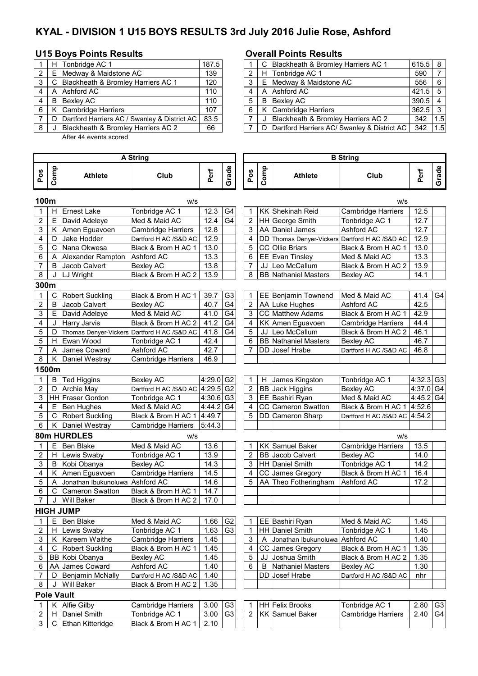# **KYAL - DIVISION 1 U15 BOYS RESULTS 3rd July 2016 Julie Rose, Ashford**

### **U15 Boys Points Results Overall Points Results**

|   |   | H Tonbridge AC 1                             | 187.5 |   | C Blackheath & Bromley Harriers AC 1          | 615.5 8   |     |
|---|---|----------------------------------------------|-------|---|-----------------------------------------------|-----------|-----|
| 2 | Е | Medway & Maidstone AC                        | 139   |   | H Tonbridge AC 1                              | 590       |     |
| 3 | C | Blackheath & Bromley Harriers AC 1           | 120   |   | E Medway & Maidstone AC                       | 556       | 16. |
| 4 |   | A Ashford AC                                 | 110   |   | A Ashford AC                                  | $421.5$ 5 |     |
| 4 | B | Bexlev AC                                    | 110   | 5 | B Bexley AC                                   | $390.5$ 4 |     |
| 6 |   | K Cambridge Harriers                         | 107   | 6 | K Cambridge Harriers                          | $362.5$ 3 |     |
|   | D | Dartford Harriers AC / Swanley & District AC | 83.5  |   | Blackheath & Bromley Harriers AC 2            | 342       | 1.5 |
| 8 |   | Blackheath & Bromley Harriers AC 2           | 66    |   | D Dartford Harriers AC/ Swanley & District AC | 342       | 1.5 |
|   |   |                                              |       |   |                                               |           |     |

After 44 events scored

Ī

|       |       | H Tonbridge AC 1                               | 187.5 |  | C Blackheath & Bromley Harriers AC 1          | $615.5$ 8 |     |
|-------|-------|------------------------------------------------|-------|--|-----------------------------------------------|-----------|-----|
|       | 2   E | Medway & Maidstone AC                          | 139   |  | H Tonbridge AC 1                              | 590       |     |
|       |       | 3   C Blackheath & Bromley Harriers AC 1       | 120   |  | E Medway & Maidstone AC                       | 556       | - 6 |
| 4     |       | A LAshford AC                                  | 110   |  | A Ashford AC                                  | $421.5$ 5 |     |
| 4 I B |       | Bexley AC                                      | 110   |  | <b>B</b> Bexlev AC                            | $390.5$ 4 |     |
|       |       | 6   K Cambridge Harriers                       | 107   |  | K Cambridge Harriers                          | $362.5$ 3 |     |
|       |       | D Dartford Harriers AC / Swanley & District AC | 83.5  |  | Blackheath & Bromley Harriers AC 2            | 342       | 1.5 |
| 8 I J |       | Blackheath & Bromley Harriers AC 2             | 66    |  | D Dartford Harriers AC/ Swanley & District AC | 342       | 1.5 |

| <b>A String</b> |       |                        |                                             |                         |                |                |      |                             | <b>B</b> String              |           |                |
|-----------------|-------|------------------------|---------------------------------------------|-------------------------|----------------|----------------|------|-----------------------------|------------------------------|-----------|----------------|
| Pos             | Comp  | <b>Athlete</b>         | Club                                        | Perf                    | Grade          | Pos            | Comp | <b>Athlete</b>              | Club                         | Perf      | Grade          |
| 100m            |       |                        | w/s                                         |                         |                |                |      |                             | W/S                          |           |                |
| 1               | H     | <b>Ernest Lake</b>     | Tonbridge AC 1                              | 12.3                    | G4             | 1              |      | KK Shekinah Reid            | <b>Cambridge Harriers</b>    | 12.5      |                |
| $\overline{2}$  | E.    | David Adeleye          | Med & Maid AC                               | 12.4                    | G4             | $\overline{2}$ |      | HH George Smith             | Tonbridge AC 1               | 12.7      |                |
| 3               | K     | Amen Eguavoen          | Cambridge Harriers                          | 12.8                    |                | 3              |      | AA Daniel James             | Ashford AC                   | 12.7      |                |
| 4               | D     | Jake Hodder            | Dartford H AC /S&D AC                       | 12.9                    |                | 4              |      | DD Thomas Denyer-Vickers    | Dartford H AC /S&D AC        | 12.9      |                |
| 5               | C     | Nana Okwesa            | Black & Brom H AC 1                         | 13.0                    |                | 5              |      | CC Ollie Briars             | Black & Brom H AC 1          | 13.0      |                |
| 6               | Α     | Alexander Rampton      | Ashford AC                                  | 13.3                    |                | 6              |      | EE Evan Tinsley             | Med & Maid AC                | 13.3      |                |
| $\overline{7}$  | B     | Jacob Calvert          | <b>Bexley AC</b>                            | 13.8                    |                | 7              |      | JJ Leo McCallum             | Black & Brom H AC 2          | 13.9      |                |
| 8               | J     | LJ Wright              | Black & Brom H AC 2                         | 13.9                    |                | 8              |      | <b>BB</b> Nathaniel Masters | <b>Bexley AC</b>             | 14.1      |                |
| 300m            |       |                        |                                             |                         |                |                |      |                             |                              |           |                |
| 1               | C     | <b>Robert Suckling</b> | Black & Brom H AC 1                         | 39.7                    | G <sub>3</sub> | 1              |      | EE Benjamin Townend         | Med & Maid AC                | 41.4      | G4             |
| $\overline{c}$  | B     | Jacob Calvert          | <b>Bexley AC</b>                            | 40.7                    | G <sub>4</sub> | $\overline{2}$ |      | AA Luke Hughes              | Ashford AC                   | 42.5      |                |
| 3               |       | E David Adeleye        | Med & Maid AC                               | 41.0                    | G4             | 3              |      | CC Matthew Adams            | Black & Brom H AC 1          | 42.9      |                |
| 4               | J     | <b>Harry Jarvis</b>    | Black & Brom H AC 2                         | 41.2                    | G <sub>4</sub> | 4              |      | KK Amen Eguavoen            | <b>Cambridge Harriers</b>    | 44.4      |                |
| 5               | D     |                        | Thomas Denyer-Vickers Dartford H AC /S&D AC | 41.8                    | G <sub>4</sub> | 5              |      | JJ Leo McCallum             | Black & Brom H AC 2          | 46.1      |                |
| 5               | H.    | Ewan Wood              | Tonbridge AC 1                              | 42.4                    |                | 6              |      | <b>BB</b> Nathaniel Masters | <b>Bexley AC</b>             | 46.7      |                |
| 7               | A     | James Coward           | <b>Ashford AC</b>                           | 42.7                    |                | 7              |      | DD Josef Hrabe              | Dartford H AC /S&D AC        | 46.8      |                |
| 8               | Κ     | Daniel Westray         | Cambridge Harriers                          | 46.9                    |                |                |      |                             |                              |           |                |
|                 | 1500m |                        |                                             |                         |                |                |      |                             |                              |           |                |
| 1               | B     | <b>Ted Higgins</b>     | <b>Bexley AC</b>                            | 4:29.0 G2               |                | $\mathbf 1$    | H.   | James Kingston              | Tonbridge AC 1               | 4:32.3    | G <sub>3</sub> |
| $\overline{2}$  | D     | <b>Archie May</b>      | Dartford H AC /S&D AC                       | $4:29.5$ G <sub>2</sub> |                | $\overline{2}$ |      | <b>BB</b> Jack Higgins      | <b>Bexley AC</b>             | 4:37.0 G4 |                |
| 3               |       | HH Fraser Gordon       | Tonbridge AC 1                              | 4:30.6 G3               |                | 3              |      | EE Bashiri Ryan             | Med & Maid AC                | 4:45.2 G4 |                |
| 4               |       | E Ben Hughes           | Med & Maid AC                               | 4:44.2 G4               |                | 4              |      | CC Cameron Swatton          | Black & Brom H AC 1 4:52.6   |           |                |
| 5               |       | C Robert Suckling      | Black & Brom H AC 1                         | 4:49.7                  |                | 5              |      | DD Cameron Sharp            | Dartford H AC /S&D AC 4:54.2 |           |                |
| 6               |       | K Daniel Westray       | Cambridge Harriers                          | 5:44.3                  |                |                |      |                             |                              |           |                |
|                 |       | 80m HURDLES            | w/s                                         |                         |                |                |      |                             | W/S                          |           |                |
| 1               | Е     | <b>Ben Blake</b>       | Med & Maid AC                               | 13.6                    |                | 1              |      | <b>KK</b> Samuel Baker      | <b>Cambridge Harriers</b>    | 13.5      |                |
| 2               | H     | Lewis Swaby            | Tonbridge AC 1                              | 13.9                    |                | 2              |      | <b>BB</b> Jacob Calvert     | <b>Bexley AC</b>             | 14.0      |                |
| 3               | B     | Kobi Obanya            | <b>Bexley AC</b>                            | 14.3                    |                | 3              |      | HH Daniel Smith             | Tonbridge AC 1               | 14.2      |                |
| 4               | Κ     | Amen Eguavoen          | Cambridge Harriers                          | 14.5                    |                | 4              |      | CC James Gregory            | Black & Brom H AC 1          | 16.4      |                |
| 5               | Α     | Jonathan Ibukunoluwa   | Ashford AC                                  | 14.6                    |                | 5              |      | AA Theo Fotheringham        | Ashford AC                   | 17.2      |                |
| 6               | C     | Cameron Swatton        | Black & Brom H AC 1                         | 14.7                    |                |                |      |                             |                              |           |                |
| 7               | J     | <b>Will Baker</b>      | Black & Brom H AC 2                         | 17.0                    |                |                |      |                             |                              |           |                |
|                 |       | <b>HIGH JUMP</b>       |                                             |                         |                |                |      |                             |                              |           |                |
| 1               | Е.    | Ben Blake              | Med & Maid AC                               | 1.66                    | G <sub>2</sub> | 1              |      | EE Bashiri Ryan             | Med & Maid AC                | 1.45      |                |
| 2               | H.    | Lewis Swaby            | Tonbridge AC 1                              | 1.63                    | G <sub>3</sub> | 1              |      | HH Daniel Smith             | Tonbridge AC 1               | 1.45      |                |
| 3               |       | K Kareem Waithe        | Cambridge Harriers                          | 1.45                    |                | 3              | A    | Jonathan Ibukunoluwa        | Ashford AC                   | 1.40      |                |
| 4               | C     | <b>Robert Suckling</b> | Black & Brom H AC 1                         | 1.45                    |                | 4              |      | CC James Gregory            | Black & Brom H AC 1          | 1.35      |                |
| 5               |       | BB Kobi Obanya         | <b>Bexley AC</b>                            | 1.45                    |                | 5              | JJ I | Joshua Smith                | Black & Brom H AC 2          | 1.35      |                |
| 6               |       | AA James Coward        | Ashford AC                                  | 1.40                    |                | 6              | В    | Nathaniel Masters           | Bexley AC                    | 1.30      |                |
| 7               | D     | Benjamin McNally       | Dartford H AC /S&D AC                       | 1.40                    |                |                | DDI  | Josef Hrabe                 | Dartford H AC /S&D AC        | nhr       |                |
| 8               | J     | <b>Will Baker</b>      | Black & Brom H AC 2                         | 1.35                    |                |                |      |                             |                              |           |                |
|                 |       | <b>Pole Vault</b>      |                                             |                         |                |                |      |                             |                              |           |                |
| 1               | Κ     | <b>Alfie Gilby</b>     | Cambridge Harriers                          | 3.00                    | G <sub>3</sub> | 1              |      | <b>HH Felix Brooks</b>      | Tonbridge AC 1               | 2.80      | G <sub>3</sub> |
| 2               | H     | Daniel Smith           | Tonbridge AC 1                              | 3.00                    | G <sub>3</sub> | 2              |      | <b>KK</b> Samuel Baker      | Cambridge Harriers           | 2.40      | G4             |
| 3               |       | C Ethan Kitteridge     | Black & Brom H AC 1                         | 2.10                    |                |                |      |                             |                              |           |                |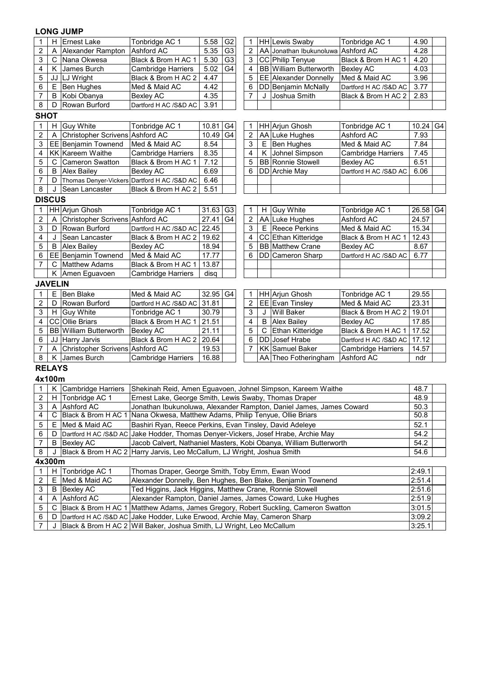| 1                | Н              | <b>Ernest Lake</b>              | Tonbridge AC 1                                                                            | 5.58<br>G <sub>2</sub><br><b>HH Lewis Swaby</b><br>Tonbridge AC 1<br>4.90<br>1<br>G <sub>3</sub><br>$\overline{2}$<br>AA Jonathan Ibukunoluwa Ashford AC<br>5.35<br>4.28 |                |                |    |                                                                     |                           |              |    |  |  |  |
|------------------|----------------|---------------------------------|-------------------------------------------------------------------------------------------|--------------------------------------------------------------------------------------------------------------------------------------------------------------------------|----------------|----------------|----|---------------------------------------------------------------------|---------------------------|--------------|----|--|--|--|
| 2                | A              | Alexander Rampton               | Ashford AC                                                                                |                                                                                                                                                                          |                |                |    |                                                                     |                           |              |    |  |  |  |
| 3                |                | C Nana Okwesa                   | Black & Brom H AC 1                                                                       | 5.30                                                                                                                                                                     | G <sub>3</sub> | $\mathsf 3$    |    | CC Philip Tenyue                                                    | Black & Brom H AC 1       | 4.20         |    |  |  |  |
| 4                |                | K James Burch                   | Cambridge Harriers                                                                        | 5.02                                                                                                                                                                     | G <sub>4</sub> | 4              |    | <b>BB</b> William Butterworth                                       | <b>Bexley AC</b>          | 4.03         |    |  |  |  |
| 5                |                | JJ LJ Wright                    | Black & Brom H AC 2                                                                       | 4.47                                                                                                                                                                     |                | 5              |    | EE Alexander Donnelly                                               | Med & Maid AC             | 3.96         |    |  |  |  |
| 6                | Е              | Ben Hughes                      | Med & Maid AC                                                                             | 4.42                                                                                                                                                                     |                | 6              |    | DD Benjamin McNally                                                 | Dartford H AC /S&D AC     | 3.77         |    |  |  |  |
| 7                | B              | Kobi Obanya                     | Bexley AC                                                                                 | 4.35                                                                                                                                                                     |                | $\overline{7}$ | J  | Joshua Smith                                                        | Black & Brom H AC 2       | 2.83         |    |  |  |  |
| 8                | D              | Rowan Burford                   | Dartford H AC /S&D AC                                                                     | 3.91                                                                                                                                                                     |                |                |    |                                                                     |                           |              |    |  |  |  |
| <b>SHOT</b>      |                |                                 |                                                                                           |                                                                                                                                                                          |                |                |    |                                                                     |                           |              |    |  |  |  |
| 1                | H              | <b>Guy White</b>                | Tonbridge AC 1                                                                            | 10.81                                                                                                                                                                    | G4             | 1              |    | HH Arjun Ghosh                                                      | Tonbridge AC 1            | 10.24        | G4 |  |  |  |
| $\boldsymbol{2}$ | A              | Christopher Scrivens Ashford AC |                                                                                           | 10.49                                                                                                                                                                    | G <sub>4</sub> | 2              |    | AA Luke Hughes                                                      | Ashford AC                | 7.93         |    |  |  |  |
| 3                |                | EE Benjamin Townend             | Med & Maid AC                                                                             | 8.54                                                                                                                                                                     |                | 3              | Е  | Ben Hughes                                                          | Med & Maid AC             | 7.84         |    |  |  |  |
| 4                |                | <b>KK</b> Kareem Waithe         | <b>Cambridge Harriers</b>                                                                 | 8.35                                                                                                                                                                     |                | 4              | Κ  | Johnel Simpson                                                      | <b>Cambridge Harriers</b> | 7.45         |    |  |  |  |
| 5                | C              | <b>Cameron Swatton</b>          | Black & Brom H AC 1                                                                       | 7.12                                                                                                                                                                     |                | 5              |    | <b>BB</b> Ronnie Stowell                                            | <b>Bexley AC</b>          | 6.51         |    |  |  |  |
| 6                | B              | <b>Alex Bailey</b>              | <b>Bexley AC</b>                                                                          | 6.69                                                                                                                                                                     |                | 6              |    | DD Archie May                                                       | Dartford H AC /S&D AC     | 6.06         |    |  |  |  |
| $\overline{7}$   | D              |                                 | Thomas Denyer-Vickers Dartford H AC /S&D AC                                               | 6.46                                                                                                                                                                     |                |                |    |                                                                     |                           |              |    |  |  |  |
| $\overline{8}$   | J              | Sean Lancaster                  | Black & Brom H AC 2                                                                       | 5.51                                                                                                                                                                     |                |                |    |                                                                     |                           |              |    |  |  |  |
|                  | <b>DISCUS</b>  |                                 |                                                                                           |                                                                                                                                                                          |                |                |    |                                                                     |                           |              |    |  |  |  |
| 1                |                | HH Arjun Ghosh                  | Tonbridge AC 1                                                                            | 31.63                                                                                                                                                                    | G <sub>3</sub> | 1              | H. | <b>Guy White</b>                                                    | Tonbridge AC 1            | 26.58 G4     |    |  |  |  |
| $\overline{2}$   | A              | Christopher Scrivens Ashford AC |                                                                                           | 27.41                                                                                                                                                                    | G <sub>4</sub> | $\overline{2}$ |    | AA Luke Hughes                                                      | Ashford AC                | 24.57        |    |  |  |  |
| 3                | D              | Rowan Burford                   | Dartford H AC /S&D AC                                                                     | 22.45                                                                                                                                                                    |                | 3              |    | E Reece Perkins                                                     | Med & Maid AC             | 15.34        |    |  |  |  |
| 4                | J              | Sean Lancaster                  | Black & Brom H AC 2                                                                       | 19.62                                                                                                                                                                    |                | 4              |    | CC Ethan Kitteridge                                                 | Black & Brom H AC 1       | 12.43        |    |  |  |  |
| 5                | B              | <b>Alex Bailey</b>              | <b>Bexley AC</b>                                                                          | 5<br>18.94<br><b>BB</b> Matthew Crane<br>8.67<br>Bexley AC                                                                                                               |                |                |    |                                                                     |                           |              |    |  |  |  |
| 6                |                | EE Benjamin Townend             | Med & Maid AC                                                                             | 17.77<br>6<br>DD Cameron Sharp<br>Dartford H AC /S&D AC<br>6.77                                                                                                          |                |                |    |                                                                     |                           |              |    |  |  |  |
| 7                | C              | <b>Matthew Adams</b>            | Black & Brom H AC 1                                                                       | 13.87                                                                                                                                                                    |                |                |    |                                                                     |                           |              |    |  |  |  |
|                  | Κ              | Amen Eguavoen                   | Cambridge Harriers                                                                        | disq                                                                                                                                                                     |                |                |    |                                                                     |                           |              |    |  |  |  |
|                  | <b>JAVELIN</b> |                                 |                                                                                           |                                                                                                                                                                          |                |                |    |                                                                     |                           |              |    |  |  |  |
| 1                | E              | Ben Blake                       | Med & Maid AC                                                                             | 32.95                                                                                                                                                                    | G4             | 1              |    | HH Arjun Ghosh                                                      | Tonbridge AC 1            | 29.55        |    |  |  |  |
| 2                | D              | Rowan Burford                   | Dartford H AC /S&D AC                                                                     | 31.81                                                                                                                                                                    |                | 2              |    | EE Evan Tinsley                                                     | Med & Maid AC             | 23.31        |    |  |  |  |
| 3                |                | H Guy White                     | Tonbridge AC 1                                                                            | 30.79                                                                                                                                                                    |                | 3              | J  | <b>Will Baker</b>                                                   | Black & Brom H AC 2       | 19.01        |    |  |  |  |
| 4                |                | CC Ollie Briars                 | Black & Brom H AC 1                                                                       | 21.51                                                                                                                                                                    |                | 4              | B  | <b>Alex Bailey</b>                                                  | Bexley AC                 | 17.85        |    |  |  |  |
| 5                |                | <b>BB</b> William Butterworth   | <b>Bexley AC</b>                                                                          | 21.11                                                                                                                                                                    |                | 5              | C  | Ethan Kitteridge                                                    | Black & Brom H AC 1 17.52 |              |    |  |  |  |
| 6                |                | JJ Harry Jarvis                 | Black & Brom H AC 2                                                                       | 20.64                                                                                                                                                                    |                | 6              |    | <b>DD</b> Josef Hrabe                                               | Dartford H AC /S&D AC     | 17.12        |    |  |  |  |
| $\overline{7}$   | A              | Christopher Scrivens Ashford AC |                                                                                           | 19.53                                                                                                                                                                    |                | $\overline{7}$ |    | <b>KK Samuel Baker</b>                                              | <b>Cambridge Harriers</b> | 14.57        |    |  |  |  |
| 8                |                | K James Burch                   | <b>Cambridge Harriers</b>                                                                 | 16.88                                                                                                                                                                    |                |                |    | AA Theo Fotheringham                                                | Ashford AC                | ndr          |    |  |  |  |
|                  | <b>RELAYS</b>  |                                 |                                                                                           |                                                                                                                                                                          |                |                |    |                                                                     |                           |              |    |  |  |  |
|                  | 4x100m         |                                 |                                                                                           |                                                                                                                                                                          |                |                |    |                                                                     |                           |              |    |  |  |  |
| $\mathbf{1}$     |                | K Cambridge Harriers            | Shekinah Reid, Amen Eguavoen, Johnel Simpson, Kareem Waithe                               |                                                                                                                                                                          |                |                |    |                                                                     |                           | 48.7         |    |  |  |  |
|                  |                | 2 H Tonbridge AC 1              | Ernest Lake, George Smith, Lewis Swaby, Thomas Draper                                     |                                                                                                                                                                          |                |                |    |                                                                     |                           | 48.9         |    |  |  |  |
| 3                |                | A Ashford AC                    |                                                                                           |                                                                                                                                                                          |                |                |    | Jonathan Ibukunoluwa, Alexander Rampton, Daniel James, James Coward |                           | 50.3         |    |  |  |  |
| 4                | C              | Black & Brom H AC 1             | Nana Okwesa, Matthew Adams, Philip Tenyue, Ollie Briars                                   |                                                                                                                                                                          |                |                |    |                                                                     |                           | 50.8         |    |  |  |  |
| 5                | Е.             | Med & Maid AC                   | Bashiri Ryan, Reece Perkins, Evan Tinsley, David Adeleye                                  |                                                                                                                                                                          |                |                |    |                                                                     |                           | 52.1         |    |  |  |  |
| 6                | D              |                                 | Dartford H AC /S&D AC Jake Hodder, Thomas Denyer-Vickers, Josef Hrabe, Archie May<br>54.2 |                                                                                                                                                                          |                |                |    |                                                                     |                           |              |    |  |  |  |
| 7                | B              | <b>Bexley AC</b>                |                                                                                           | Jacob Calvert, Nathaniel Masters, Kobi Obanya, William Butterworth                                                                                                       |                |                |    |                                                                     |                           |              |    |  |  |  |
| 8                |                |                                 | Black & Brom H AC 2 Harry Jarvis, Leo McCallum, LJ Wright, Joshua Smith                   |                                                                                                                                                                          |                |                |    |                                                                     |                           | 54.2<br>54.6 |    |  |  |  |
|                  | 4x300m         |                                 |                                                                                           |                                                                                                                                                                          |                |                |    |                                                                     |                           |              |    |  |  |  |
| 1                | H              | Tonbridge AC 1                  | Thomas Draper, George Smith, Toby Emm, Ewan Wood                                          |                                                                                                                                                                          |                |                |    |                                                                     |                           | 2:49.1       |    |  |  |  |
| 2                | Е              | Med & Maid AC                   | Alexander Donnelly, Ben Hughes, Ben Blake, Benjamin Townend                               |                                                                                                                                                                          |                |                |    |                                                                     |                           | 2:51.4       |    |  |  |  |
| 3                | B              | <b>Bexley AC</b>                | Ted Higgins, Jack Higgins, Matthew Crane, Ronnie Stowell                                  |                                                                                                                                                                          |                |                |    |                                                                     |                           | 2:51.6       |    |  |  |  |
| 4                | A              | Ashford AC                      |                                                                                           |                                                                                                                                                                          |                |                |    | Alexander Rampton, Daniel James, James Coward, Luke Hughes          |                           | 2:51.9       |    |  |  |  |
| 5                | C              |                                 | Black & Brom H AC 1 Matthew Adams, James Gregory, Robert Suckling, Cameron Swatton        |                                                                                                                                                                          |                |                |    |                                                                     |                           | 3:01.5       |    |  |  |  |
| 6                | D              |                                 |                                                                                           | Dartford H AC /S&D AC Jake Hodder, Luke Erwood, Archie May, Cameron Sharp<br>3:09.2                                                                                      |                |                |    |                                                                     |                           |              |    |  |  |  |
| $\overline{7}$   | J              |                                 |                                                                                           | Black & Brom H AC 2 Will Baker, Joshua Smith, LJ Wright, Leo McCallum                                                                                                    |                |                |    |                                                                     |                           |              |    |  |  |  |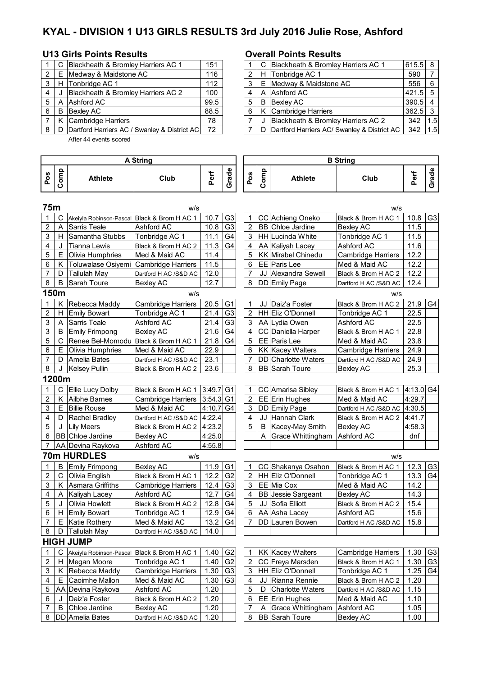# **KYAL - DIVISION 1 U13 GIRLS RESULTS 3rd July 2016 Julie Rose, Ashford**

### **U13 Girls Points Results Overall Points Results**

|   |   | C   Blackheath & Bromley Harriers AC 1           | 151  |   |   | C Blackheath & Bromley Harriers AC 1       |
|---|---|--------------------------------------------------|------|---|---|--------------------------------------------|
| 2 |   | E Medway & Maidstone AC                          | 116  | 2 |   | H Tonbridge AC 1                           |
| 3 |   | H Tonbridge AC 1                                 | 112  | 3 |   | E Medway & Maidstone AC                    |
| 4 |   | Blackheath & Bromley Harriers AC 2               | 100  |   |   | A Ashford AC                               |
| 5 |   | A Ashford AC                                     | 99.5 | 5 | B | Bexley AC                                  |
| 6 | B | <b>Bexley AC</b>                                 | 88.5 | 6 |   | K Cambridge Harriers                       |
|   |   | K Cambridge Harriers                             | 78   |   |   | Blackheath & Bromley Harriers AC 2         |
| 8 |   | D. Dartford Harriers AC / Swanley & District ACL | 72   |   |   | D Dartford Harriers AC/ Swanley & District |

After 44 events scored

|     |   | C Blackheath & Bromley Harriers AC 1                 | 151  |   | C Blackheath & Bromley Harriers AC 1            | $615.5$ 8 |      |
|-----|---|------------------------------------------------------|------|---|-------------------------------------------------|-----------|------|
| 2 I |   | E   Medway & Maidstone AC                            | 116  | 2 | H Tonbridge AC 1                                | 590       |      |
| 3 I |   | H Tonbridge AC 1                                     | 112  |   | E Medway & Maidstone AC                         | 556       | - 6  |
| 4   | J | Blackheath & Bromley Harriers AC 2                   | 100  |   | A Ashford AC                                    | $421.5$ 5 |      |
| 5   |   | A Ashford AC                                         | 99.5 |   | <b>B</b> Bexlev AC                              | $390.5$ 4 |      |
| 6.  | B | Bexlev AC                                            | 88.5 |   | K Cambridge Harriers                            | $362.5$ 3 |      |
|     |   | K Cambridge Harriers                                 | 78   |   | Blackheath & Bromley Harriers AC 2              | 342       | 11.5 |
|     |   | 8   D   Dartford Harriers AC / Swanley & District AC | 72   |   | D   Dartford Harriers AC/ Swanley & District AC | 342       | 1.5  |

| <b>A String</b> |       |                                             |                           |             |                |                |      |                           | <b>B</b> String           |           |                |
|-----------------|-------|---------------------------------------------|---------------------------|-------------|----------------|----------------|------|---------------------------|---------------------------|-----------|----------------|
| Pos             | Comp  | <b>Athlete</b>                              | Club                      | Perf        | Grade          | Pos            | Comp | <b>Athlete</b>            | Club                      | Perf      | Grade          |
| 75m             |       |                                             | w/s                       |             |                |                |      |                           | w/s                       |           |                |
| 1               | C     | Akeiyla Robinson-Pascal Black & Brom H AC 1 |                           | 10.7        | G <sub>3</sub> | $\mathbf{1}$   |      | CC Achieng Oneko          | Black & Brom H AC 1       | 10.8      | G <sub>3</sub> |
| 2               | Α     | Sarris Teale                                | Ashford AC                | 10.8        | G <sub>3</sub> | $\overline{2}$ |      | <b>BB</b> Chloe Jardine   | <b>Bexley AC</b>          | 11.5      |                |
| 3               | H.    | Samantha Stubbs                             | Tonbridge AC 1            | 11.1        | G <sub>4</sub> | 3              |      | HH Lucinda White          | Tonbridge AC 1            | 11.5      |                |
| 4               | J     | <b>Tianna Lewis</b>                         | Black & Brom H AC 2       | 11.3        | G <sub>4</sub> | 4              |      | AA Kaliyah Lacey          | Ashford AC                | 11.6      |                |
| 5               | E     | Olivia Humphries                            | Med & Maid AC             | 11.4        |                | 5              |      | <b>KK</b> Mirabel Chinedu | <b>Cambridge Harriers</b> | 12.2      |                |
| 6               | K.    | Toluwalase Osiyemi                          | <b>Cambridge Harriers</b> | 11.5        |                | 6              |      | EE Paris Lee              | Med & Maid AC             | 12.2      |                |
| $\overline{7}$  | D     | <b>Tallulah May</b>                         | Dartford H AC /S&D AC     | 12.0        |                | 7              |      | JJ Alexandra Sewell       | Black & Brom H AC 2       | 12.2      |                |
| 8               | В     | Sarah Toure                                 | Bexley AC                 | 12.7        |                | 8              |      | DD Emily Page             | Dartford H AC /S&D AC     | 12.4      |                |
|                 | 150m  |                                             | w/s                       |             |                |                |      |                           | W/S                       |           |                |
| 1               | Κ     | Rebecca Maddy                               | Cambridge Harriers        | 20.5        | G <sub>1</sub> | 1              |      | JJ Daiz'a Foster          | Black & Brom H AC 2       | 21.9      | G4             |
| $\overline{c}$  | H.    | <b>Emily Bowart</b>                         | Tonbridge AC 1            | 21.4        | G <sub>3</sub> | $\overline{2}$ |      | <b>HH</b> Eliz O'Donnell  | Tonbridge AC 1            | 22.5      |                |
| 3               | Α     | Sarris Teale                                | Ashford AC                | 21.4        | G <sub>3</sub> | 3              |      | AA Lydia Owen             | Ashford AC                | 22.5      |                |
| 3               | B     | Emily Frimpong                              | Bexley AC                 | 21.6        | G <sub>4</sub> | $\overline{4}$ |      | CC Daniella Harper        | Black & Brom H AC 1       | 22.8      |                |
| 5               | C     | Renee Bel-Momodu Black & Brom H AC 1        |                           | 21.8        | G <sub>4</sub> | 5              |      | EE   Paris Lee            | Med & Maid AC             | 23.8      |                |
| 6               | E.    | Olivia Humphries                            | Med & Maid AC             | 22.9        |                | 6              |      | <b>KK Kacey Walters</b>   | Cambridge Harriers        | 24.9      |                |
| 7               | D     | Amelia Bates                                | Dartford H AC /S&D AC     | 23.1        |                | $\overline{7}$ |      | DD Charlotte Waters       | Dartford H AC /S&D AC     | 24.9      |                |
| 8               | J     | <b>Kelsey Pullin</b>                        | Black & Brom H AC 2       | 23.6        |                | 8              |      | <b>BB</b> Sarah Toure     | <b>Bexley AC</b>          | 25.3      |                |
|                 | 1200m |                                             |                           |             |                |                |      |                           |                           |           |                |
| 1               | C     | Ellie Lucy Dolby                            | Black & Brom H AC 1       | $3:49.7$ G1 |                | 1              |      | <b>CC</b> Amarisa Sibley  | Black & Brom H AC 1       | 4:13.0 G4 |                |
| 2               |       | K Ailbhe Barnes                             | Cambridge Harriers        | 3:54.3 G1   |                | $\overline{2}$ |      | EE Erin Hughes            | Med & Maid AC             | 4:29.7    |                |
| 3               | E.    | <b>Billie Rouse</b>                         | Med & Maid AC             | 4:10.7 G4   |                | 3              |      | DD Emily Page             | Dartford H AC /S&D AC     | 4:30.5    |                |
| 4               | D     | Rachel Bradley                              | Dartford H AC /S&D AC     | 4:22.4      |                | 4              | JJ   | Hannah Clark              | Black & Brom H AC 2       | 4:41.7    |                |
| 5               | J     | <b>Lily Meers</b>                           | Black & Brom H AC 2       | 4:23.2      |                | 5              | B    | Kacey-May Smith           | <b>Bexley AC</b>          | 4:58.3    |                |
| 6               |       | <b>BB</b> Chloe Jardine                     | Bexley AC                 | 4:25.0      |                |                | Α    | Grace Whittingham         | Ashford AC                | dnf       |                |
| 7               |       | AA Devina Raykova                           | Ashford AC                | 4:55.8      |                |                |      |                           |                           |           |                |
|                 |       | <b>70m HURDLES</b>                          | w/s                       |             |                |                |      |                           | w/s                       |           |                |
| 1               | В     | <b>Emily Frimpong</b>                       | <b>Bexley AC</b>          | 11.9        | G <sub>1</sub> | $\mathbf 1$    |      | CC Shakanya Osahon        | Black & Brom H AC 1       | 12.3      | G <sub>3</sub> |
| 2               | C.    | Olivia English                              | Black & Brom H AC 1       | 12.2        | G <sub>2</sub> | 2              |      | HH Eliz O'Donnell         | Tonbridge AC 1            | 13.3      | G4             |
| 3               | Κ     | Asmara Griffiths                            | Cambridge Harriers        | 12.4        | G <sub>3</sub> | 3              |      | EE Mia Cox                | Med & Maid AC             | 14.2      |                |
| 4               | Α     | Kaliyah Lacey                               | Ashford AC                | 12.7        | G <sub>4</sub> | 4              |      | <b>BB</b> Jessie Sargeant | <b>Bexley AC</b>          | 14.3      |                |
| 5               | J     | Olivia Howlett                              | Black & Brom H AC 2       | 12.8        | G <sub>4</sub> | 5              | JJ   | Sofia Elliott             | Black & Brom H AC 2       | 15.4      |                |
| 6               | H.    | <b>Emily Bowart</b>                         | Tonbridge AC 1            | 12.9        | G <sub>4</sub> | 6              |      | AA Asha Lacey             | Ashford AC                | 15.6      |                |
| 7               |       | E Katie Rothery                             | Med & Maid AC             | 13.2 $ G4 $ |                | 7              |      | <b>DD</b> Lauren Bowen    | Dartford H AC /S&D AC     | 15.8      |                |
| 8               | D     | <b>Tallulah May</b>                         | Dartford H AC /S&D AC     | 14.0        |                |                |      |                           |                           |           |                |
|                 |       | <b>HIGH JUMP</b>                            |                           |             |                |                |      |                           |                           |           |                |
| 1               | С     | Akeiyla Robinson-Pascal Black & Brom H AC 1 |                           | 1.40        | G <sub>2</sub> | 1              |      | KK Kacey Walters          | <b>Cambridge Harriers</b> | 1.30      | G <sub>3</sub> |
| 2               |       | H Megan Moore                               | Tonbridge AC 1            | 1.40        | G <sub>2</sub> | $\overline{2}$ |      | CC Freya Marsden          | Black & Brom H AC 1       | 1.30      | G <sub>3</sub> |
| 3               |       | K Rebecca Maddy                             | Cambridge Harriers        | 1.30        | G <sub>3</sub> | 3              |      | HH Eliz O'Donnell         | Tonbridge AC 1            | 1.25      | G4             |
| 4               | Е.    | Caoimhe Mallon                              | Med & Maid AC             | 1.30        | G <sub>3</sub> | 4              | JJ   | Rianna Rennie             | Black & Brom H AC 2       | 1.20      |                |
| 5               | AA    | Devina Raykova                              | Ashford AC                | 1.20        |                | 5              | D    | Charlotte Waters          | Dartford H AC /S&D AC     | 1.15      |                |
| 6               | J     | Daiz'a Foster                               | Black & Brom H AC 2       | 1.20        |                | 6              |      | EE Erin Hughes            | Med & Maid AC             | 1.10      |                |
| 7               | B     | Chloe Jardine                               | Bexley AC                 | 1.20        |                | 7              | Α    | Grace Whittingham         | Ashford AC                | 1.05      |                |
| 8               |       | DD Amelia Bates                             | Dartford H AC /S&D AC     | 1.20        |                | 8              |      | <b>BB</b> Sarah Toure     | <b>Bexley AC</b>          | 1.00      |                |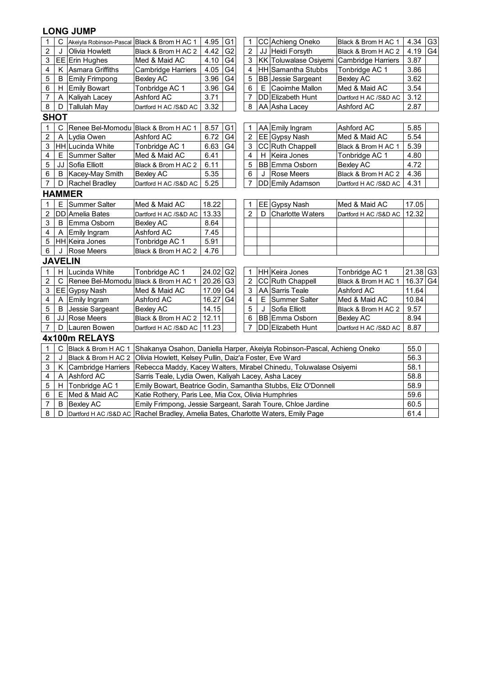|                         |                |                                      | 4.34                                                                                                                  |                                                                                    |                |                |    |                                                               |                       |                        |                |  |  |  |
|-------------------------|----------------|--------------------------------------|-----------------------------------------------------------------------------------------------------------------------|------------------------------------------------------------------------------------|----------------|----------------|----|---------------------------------------------------------------|-----------------------|------------------------|----------------|--|--|--|
| $\mathbf{1}$            | $\mathsf{C}$   |                                      | G <sub>1</sub><br>CC Achieng Oneko<br>4.95<br>1<br>Akeiyla Robinson-Pascal Black & Brom H AC 1<br>Black & Brom H AC 1 |                                                                                    |                |                |    |                                                               |                       |                        |                |  |  |  |
| $\overline{2}$          | J              | Olivia Howlett                       | $\overline{2}$<br>G <sub>2</sub><br>JJ Heidi Forsyth<br>4.19<br>4.42<br>Black & Brom H AC 2<br>Black & Brom H AC 2    |                                                                                    |                |                |    |                                                               |                       |                        |                |  |  |  |
| 3                       |                | EE Erin Hughes                       | Med & Maid AC                                                                                                         | 4.10                                                                               | G <sub>4</sub> | 3              |    | KK Toluwalase Osiyemi Cambridge Harriers                      |                       | 3.87                   |                |  |  |  |
| $\overline{\mathbf{4}}$ | Κ              | Asmara Griffiths                     | <b>Cambridge Harriers</b>                                                                                             | 4.05                                                                               | G <sub>4</sub> | 4              |    | HH Samantha Stubbs                                            | Tonbridge AC 1        | 3.86                   |                |  |  |  |
| 5                       | B              | <b>Emily Frimpong</b>                | <b>Bexley AC</b>                                                                                                      | 3.96                                                                               | G <sub>4</sub> | 5              |    | BB Jessie Sargeant                                            | <b>Bexley AC</b>      | 3.62                   |                |  |  |  |
| 6                       | Н              | <b>Emily Bowart</b>                  | Tonbridge AC 1                                                                                                        | 3.96                                                                               | G <sub>4</sub> | 6              | Е  | Caoimhe Mallon                                                | Med & Maid AC         | 3.54                   |                |  |  |  |
| $\overline{7}$          | A              | Kaliyah Lacey                        | Ashford AC                                                                                                            | 3.71                                                                               |                | 7              |    | <b>DD</b> Elizabeth Hunt                                      | Dartford H AC /S&D AC | 3.12                   |                |  |  |  |
| 8                       | D              | <b>Tallulah May</b>                  | Dartford H AC /S&D AC                                                                                                 | 3.32                                                                               |                | 8              |    | AA Asha Lacey                                                 | Ashford AC            | 2.87                   |                |  |  |  |
|                         | <b>SHOT</b>    |                                      |                                                                                                                       |                                                                                    |                |                |    |                                                               |                       |                        |                |  |  |  |
| $\mathbf{1}$            | C              | Renee Bel-Momodu Black & Brom H AC 1 |                                                                                                                       | 8.57                                                                               | G <sub>1</sub> | 1              |    | AA Emily Ingram                                               | Ashford AC            | 5.85                   |                |  |  |  |
| $\boldsymbol{2}$        | Α              | Lydia Owen                           | Ashford AC                                                                                                            | 6.72                                                                               | G4             | $\overline{c}$ |    | EE Gypsy Nash                                                 | Med & Maid AC         | 5.54                   |                |  |  |  |
| $\mathsf 3$             |                | HH Lucinda White                     | Tonbridge AC 1                                                                                                        | 6.63                                                                               | G <sub>4</sub> | 3              |    | CC Ruth Chappell                                              | Black & Brom H AC 1   | 5.39                   |                |  |  |  |
| $\overline{\mathbf{4}}$ | Е              | Summer Salter                        | Med & Maid AC                                                                                                         | 6.41                                                                               |                | 4              | H  | Keira Jones                                                   | Tonbridge AC 1        | 4.80                   |                |  |  |  |
| 5                       |                | JJ Sofia Elliott                     | Black & Brom H AC 2                                                                                                   | 6.11                                                                               |                | 5              |    | BB Emma Osborn                                                | <b>Bexley AC</b>      | 4.72                   |                |  |  |  |
| $\,6\,$                 | B              | Kacey-May Smith                      | <b>Bexley AC</b>                                                                                                      | 5.35                                                                               |                | 6              | J  | <b>Rose Meers</b>                                             | Black & Brom H AC 2   | 4.36                   |                |  |  |  |
| $\overline{7}$          | D              | Rachel Bradley                       | Dartford H AC /S&D AC                                                                                                 | 5.25                                                                               |                | $\overline{7}$ |    | DD Emily Adamson                                              | Dartford H AC /S&D AC | 4.31                   |                |  |  |  |
|                         |                | <b>HAMMER</b>                        |                                                                                                                       |                                                                                    |                |                |    |                                                               |                       |                        |                |  |  |  |
| $\mathbf{1}$            | E              | Summer Salter                        | Med & Maid AC                                                                                                         | 18.22<br>17.05<br>EE Gypsy Nash<br>Med & Maid AC<br>1                              |                |                |    |                                                               |                       |                        |                |  |  |  |
| $\overline{2}$          |                | <b>DD</b> Amelia Bates               | Dartford H AC /S&D AC                                                                                                 | $\overline{2}$<br>13.33<br>Charlotte Waters<br>12.32<br>D<br>Dartford H AC /S&D AC |                |                |    |                                                               |                       |                        |                |  |  |  |
| 3                       | B              | Emma Osborn                          | Bexley AC                                                                                                             | 8.64                                                                               |                |                |    |                                                               |                       |                        |                |  |  |  |
| $\overline{\mathbf{4}}$ | Α              | Emily Ingram                         | Ashford AC                                                                                                            | 7.45                                                                               |                |                |    |                                                               |                       |                        |                |  |  |  |
| 5                       |                | HH Keira Jones                       | Tonbridge AC 1                                                                                                        | 5.91                                                                               |                |                |    |                                                               |                       |                        |                |  |  |  |
| $6\phantom{1}$          | J              | Rose Meers                           | Black & Brom H AC 2                                                                                                   | 4.76                                                                               |                |                |    |                                                               |                       |                        |                |  |  |  |
|                         | <b>JAVELIN</b> |                                      |                                                                                                                       |                                                                                    |                |                |    |                                                               |                       |                        |                |  |  |  |
| $\mathbf{1}$            | $\mathsf{H}$   | Lucinda White                        | Tonbridge AC 1                                                                                                        | 24.02                                                                              | G <sub>2</sub> | 1              |    | HH Keira Jones                                                | Tonbridge AC 1        | $21.38$ G <sub>3</sub> |                |  |  |  |
| $\overline{2}$          | C              | Renee Bel-Momodu Black & Brom H AC 1 |                                                                                                                       | 20.26                                                                              | G <sub>3</sub> | $\overline{2}$ |    | CC Ruth Chappell                                              | Black & Brom H AC 1   | 16.37                  | G <sub>4</sub> |  |  |  |
| 3                       |                | EE Gypsy Nash                        | Med & Maid AC                                                                                                         | 17.09                                                                              | G <sub>4</sub> | 3              |    | <b>AA</b> Sarris Teale                                        | Ashford AC            | 11.64                  |                |  |  |  |
| $\overline{\mathbf{4}}$ | A              | Emily Ingram                         | Ashford AC                                                                                                            | 16.27                                                                              | G4             | 4              | E. | Summer Salter                                                 | Med & Maid AC         | 10.84                  |                |  |  |  |
| 5                       | B              | Jessie Sargeant                      | Bexley AC                                                                                                             | 14.15                                                                              |                | 5              | J  | Sofia Elliott                                                 | Black & Brom H AC 2   | 9.57                   |                |  |  |  |
| $\,6$                   | JJ             | Rose Meers                           | Black & Brom H AC 2                                                                                                   | 12.11                                                                              |                | 6              |    | BB Emma Osborn                                                | <b>Bexley AC</b>      | 8.94                   |                |  |  |  |
| $\overline{7}$          | D              | Lauren Bowen                         | Dartford H AC /S&D AC                                                                                                 | 11.23                                                                              |                | $\overline{7}$ |    | DD Elizabeth Hunt                                             | Dartford H AC /S&D AC | 8.87                   |                |  |  |  |
|                         |                | 4x100m RELAYS                        |                                                                                                                       |                                                                                    |                |                |    |                                                               |                       |                        |                |  |  |  |
| $\mathbf{1}$            | $\mathsf{C}$   | Black & Brom H AC 1                  | Shakanya Osahon, Daniella Harper, Akeiyla Robinson-Pascal, Achieng Oneko<br>55.0                                      |                                                                                    |                |                |    |                                                               |                       |                        |                |  |  |  |
| $\overline{c}$          | J              | Black & Brom H AC 2                  | Olivia Howlett, Kelsey Pullin, Daiz'a Foster, Eve Ward                                                                |                                                                                    |                |                |    |                                                               |                       | 56.3                   |                |  |  |  |
| 3                       | Κ              | <b>Cambridge Harriers</b>            | Rebecca Maddy, Kacey Walters, Mirabel Chinedu, Toluwalase Osiyemi                                                     |                                                                                    |                |                |    |                                                               |                       | 58.1                   |                |  |  |  |
| $\overline{\mathbf{4}}$ | A              | Ashford AC                           | Sarris Teale, Lydia Owen, Kaliyah Lacey, Asha Lacey                                                                   |                                                                                    |                |                |    |                                                               |                       | 58.8                   |                |  |  |  |
| 5                       | H              | Tonbridge AC 1                       |                                                                                                                       |                                                                                    |                |                |    | Emily Bowart, Beatrice Godin, Samantha Stubbs, Eliz O'Donnell |                       | 58.9                   |                |  |  |  |
| 6                       | Е              | Med & Maid AC                        | Katie Rothery, Paris Lee, Mia Cox, Olivia Humphries                                                                   |                                                                                    |                |                |    |                                                               |                       | 59.6                   |                |  |  |  |
| $\overline{7}$          | B              | <b>Bexley AC</b>                     | 60.5<br>Emily Frimpong, Jessie Sargeant, Sarah Toure, Chloe Jardine                                                   |                                                                                    |                |                |    |                                                               |                       |                        |                |  |  |  |
|                         |                |                                      |                                                                                                                       |                                                                                    |                |                |    |                                                               |                       |                        |                |  |  |  |

8 D Dartford H AC /S&D AC 61.4 Rachel Bradley, Amelia Bates, Charlotte Waters, Emily Page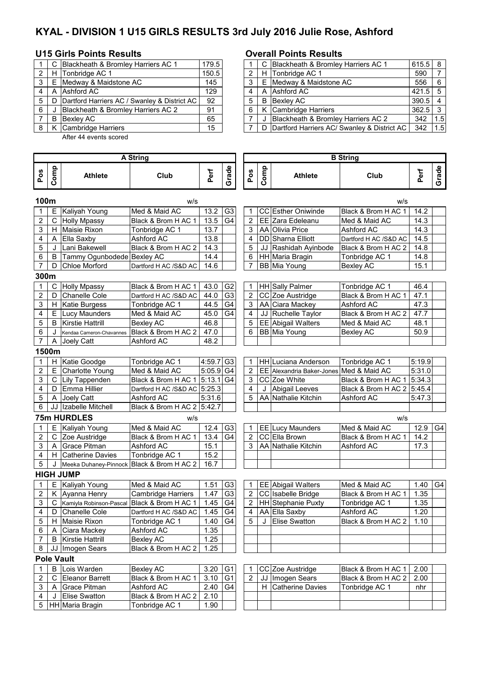# **KYAL - DIVISION 1 U15 GIRLS RESULTS 3rd July 2016 Julie Rose, Ashford**

### **U15 Girls Points Results Overall Points Results**

|   |  | C Blackheath & Bromley Harriers AC 1           | 179.5 |  |   |  | C Blackheath & Bromley Harriers AC 1            | $615.5$ 8       |     |
|---|--|------------------------------------------------|-------|--|---|--|-------------------------------------------------|-----------------|-----|
|   |  | H Tonbridge AC 1                               | 150.5 |  |   |  | H Tonbridge AC 1                                | 590             |     |
|   |  | E Medway & Maidstone AC                        | 145   |  |   |  | E Medway & Maidstone AC                         | 556             | l 6 |
|   |  | A Ashford AC                                   | 129   |  |   |  | A Ashford AC                                    | $421.5$ 5       |     |
|   |  | D Dartford Harriers AC / Swanley & District AC | 92    |  | 5 |  | <b>B</b> Bexlev AC                              | $390.5$ 4       |     |
| 6 |  | Blackheath & Bromley Harriers AC 2             | 91    |  |   |  | K Cambridge Harriers                            | $362.5 \quad 3$ |     |
|   |  | <b>B</b> Bexley AC                             | 65    |  |   |  | Blackheath & Bromley Harriers AC 2              | 342             | 1.5 |
|   |  | K Cambridge Harriers                           | 15    |  |   |  | D   Dartford Harriers AC/ Swanley & District AC | 342             | 1.5 |
|   |  |                                                |       |  |   |  |                                                 |                 |     |

After 44 events scored

|   |       | C Blackheath & Bromley Harriers AC 1               | 179.5 |   | C Blackheath & Bromley Harriers AC 1          | $615.5$ 8 |     |
|---|-------|----------------------------------------------------|-------|---|-----------------------------------------------|-----------|-----|
|   | 2   H | Tonbridge AC 1                                     | 150.5 |   | H Tonbridge AC 1                              | 590       |     |
|   |       | 3   E Medway & Maidstone AC                        | 145   |   | E Medway & Maidstone AC                       | 556       | - 6 |
| 4 |       | A lAshford AC                                      | 129   |   | A Ashford AC                                  | $421.5$ 5 |     |
|   |       | 5   D Dartford Harriers AC / Swanley & District AC | 92    |   | <b>B</b> Bexlev AC                            | $390.5$ 4 |     |
| 6 |       | Blackheath & Bromley Harriers AC 2                 | 91    | 6 | K Cambridge Harriers                          | $362.5$ 3 |     |
|   | -B    | Bexlev AC                                          | 65    |   | Blackheath & Bromley Harriers AC 2            | 342       | 1.5 |
|   |       | 8   K Cambridge Harriers                           | 15    |   | D Dartford Harriers AC/ Swanley & District AC | 342       | 1.5 |

| Grade<br>Grade<br>Comp<br>Comp<br>Pos<br>Perf<br>Perf<br>Pos<br>Club<br>Club<br><b>Athlete</b><br><b>Athlete</b><br>100m<br>w/s<br>w/s<br>G <sub>3</sub><br>E.<br>Kaliyah Young<br>Med & Maid AC<br>13.2<br>CC Esther Oniwinde<br>Black & Brom H AC 1<br>14.2<br>1<br>1<br>2<br>С<br>13.5<br>G <sub>4</sub><br>2<br>EE Zara Edeleanu<br>14.3<br><b>Holly Mpassy</b><br>Black & Brom H AC 1<br>Med & Maid AC<br>3<br>H Maisie Rixon<br>Tonbridge AC 1<br>13.7<br>AA Olivia Price<br>14.3<br>3<br>Ashford AC<br>4<br>13.8<br>DD Sharna Elliott<br>Dartford H AC /S&D AC<br>A<br>Ella Saxby<br>Ashford AC<br>4<br>14.5<br>5<br>Black & Brom H AC 2<br>5<br>J<br>Lani Bakewell<br>14.3<br>JJ Rashidah Ayinbode<br>Black & Brom H AC 2<br>14.8<br>6<br>B<br>Tammy Ogunbodede Bexley AC<br>14.4<br>6<br>HH Maria Bragin<br>14.8<br>Tonbridge AC 1<br>$\overline{7}$<br>$\overline{7}$<br><b>Chloe Morford</b><br>Dartford H AC /S&D AC<br>14.6<br>BB Mia Young<br>15.1<br>D<br>Bexley AC<br>300m<br>С<br><b>HH</b> Sally Palmer<br>Tonbridge AC 1<br>46.4<br>1<br><b>Holly Mpassy</b><br>Black & Brom H AC 1<br>43.0<br>G <sub>2</sub><br>1<br>$\overline{2}$<br>Chanelle Cole<br>G <sub>3</sub><br>$\overline{2}$<br>CC Zoe Austridge<br>47.1<br>D<br>Dartford H AC /S&D AC<br>44.0<br>Black & Brom H AC 1<br>3<br>44.5<br>G <sub>4</sub><br>AA Ciara Mackey<br>Ashford AC<br>H.<br><b>Katie Burgess</b><br>Tonbridge AC 1<br>3<br>47.3<br>G <sub>4</sub><br>4<br>Е<br>45.0<br>4<br>JJ Ruchelle Taylor<br>Black & Brom H AC 2<br>Lucy Maunders<br>Med & Maid AC<br>47.7<br>5<br>B<br><b>Kirstie Hattrill</b><br><b>Bexley AC</b><br>46.8<br>5<br><b>EE</b> Abigail Walters<br>Med & Maid AC<br>48.1<br>Black & Brom H AC 2<br><b>BB</b> Mia Young<br>6<br>J<br>47.0<br>6<br><b>Bexley AC</b><br>50.9<br>Kendaa Cameron-Chavannes<br>7<br>Ashford AC<br>48.2<br>A<br>Joely Catt<br>1500m<br>H Katie Goodge<br>Tonbridge AC 1<br>$4:59.7$ G3<br>Tonbridge AC 1<br>5:19.9<br>1<br><b>HH Luciana Anderson</b><br>1<br>$5:05.9$ G4<br>E<br>2<br>Charlotte Young<br>Med & Maid AC<br>2<br><b>EE</b> Alexandria Baker-Jones<br>Med & Maid AC<br>5:31.0<br>3<br>$\overline{C}$ Lily Tappenden<br>$5:13.1$ G4<br>CC Zoe White<br>5:34.3<br>Black & Brom H AC 1<br>3<br>Black & Brom H AC 1<br>D Emma Hillier<br>Dartford H AC /S&D AC 5:25.3<br>4<br>Abigail Leeves<br>Black & Brom H AC 2 5:45.4<br>4<br>J<br>5<br>AA Nathalie Kitchin<br>A<br>Joely Catt<br>Ashford AC<br>5:31.6<br>5<br>Ashford AC<br>5:47.3<br>Black & Brom H AC 2 5:42.7<br>6<br>JJ   Izabelle Mitchell<br><b>75m HURDLES</b><br>w/s<br>W/S<br>Med & Maid AC<br>G <sub>3</sub><br>Med & Maid AC<br>E Kaliyah Young<br>12.4<br>EE Lucy Maunders<br>12.9<br>G <sub>4</sub><br>1<br>1<br>CC Ella Brown<br>C Zoe Austridge<br>13.4<br>2<br>Black & Brom H AC 1<br>G <sub>4</sub><br>$\overline{2}$<br>Black & Brom H AC 1<br>14.2<br>3<br>A Grace Pitman<br>15.1<br>AA Nathalie Kitchin<br>Ashford AC<br>3<br>17.3<br>Ashford AC<br>4<br>Tonbridge AC 1<br>15.2<br>H Catherine Davies<br>Black & Brom H AC 2<br>16.7<br>5<br>J Meeka Duhaney-Pinnock<br><b>HIGH JUMP</b><br>E Kaliyah Young<br>1.51<br>G <sub>3</sub><br>Med & Maid AC<br>1<br>EE Abigail Walters<br>Med & Maid AC<br>1.40<br>G4<br>1<br>G <sub>3</sub><br>CC Isabelle Bridge<br>$\overline{2}$<br>K Ayanna Henry<br>1.47<br>1.35<br>$\overline{2}$<br>Black & Brom H AC 1<br><b>Cambridge Harriers</b><br>3<br>$\overline{2}$<br>HH Stephanie Puxty<br>C Kamiyla Robinson-Pascal<br>Black & Brom H AC 1<br>1.45<br>G <sub>4</sub><br>Tonbridge AC 1<br>1.35<br>1.45<br>G <sub>4</sub><br>4<br>AA Ella Saxby<br>1.20<br>D Chanelle Cole<br>4<br>Ashford AC<br>Dartford H AC /S&D AC<br>5<br>H Maisie Rixon<br>Tonbridge AC 1<br>G4<br>5<br>J Elise Swatton<br>1.40<br>Black & Brom H AC 2   1.10<br>A Ciara Mackey<br>Ashford AC<br>1.35<br>6<br><b>B</b> Kirstie Hattrill<br><b>Bexley AC</b><br>1.25<br>7<br>Black & Brom H AC 2<br>JJ Imogen Sears<br>1.25<br>8<br><b>Pole Vault</b><br>$\sf B$<br>Lois Warden<br><b>Bexley AC</b><br>G <sub>1</sub><br>3.20<br>CC Zoe Austridge<br>Black & Brom H AC 1<br>2.00<br>1<br>1<br>$\overline{G1}$<br>2<br>C<br>Eleanor Barrett<br>Black & Brom H AC 1<br>2<br>JJ   Imogen Sears<br>Black & Brom H AC 2<br>3.10<br>2.00<br>G <sub>4</sub><br>3<br>A Grace Pitman<br>Ashford AC<br>2.40<br>H Catherine Davies<br>Tonbridge AC 1<br>nhr<br>Black & Brom H AC 2<br>J Elise Swatton<br>2.10<br>4<br>5   HH Maria Bragin<br>Tonbridge AC 1<br>1.90 |  |  | <b>A String</b> |  |  |  |  | <b>B</b> String |  |
|---------------------------------------------------------------------------------------------------------------------------------------------------------------------------------------------------------------------------------------------------------------------------------------------------------------------------------------------------------------------------------------------------------------------------------------------------------------------------------------------------------------------------------------------------------------------------------------------------------------------------------------------------------------------------------------------------------------------------------------------------------------------------------------------------------------------------------------------------------------------------------------------------------------------------------------------------------------------------------------------------------------------------------------------------------------------------------------------------------------------------------------------------------------------------------------------------------------------------------------------------------------------------------------------------------------------------------------------------------------------------------------------------------------------------------------------------------------------------------------------------------------------------------------------------------------------------------------------------------------------------------------------------------------------------------------------------------------------------------------------------------------------------------------------------------------------------------------------------------------------------------------------------------------------------------------------------------------------------------------------------------------------------------------------------------------------------------------------------------------------------------------------------------------------------------------------------------------------------------------------------------------------------------------------------------------------------------------------------------------------------------------------------------------------------------------------------------------------------------------------------------------------------------------------------------------------------------------------------------------------------------------------------------------------------------------------------------------------------------------------------------------------------------------------------------------------------------------------------------------------------------------------------------------------------------------------------------------------------------------------------------------------------------------------------------------------------------------------------------------------------------------------------------------------------------------------------------------------------------------------------------------------------------------------------------------------------------------------------------------------------------------------------------------------------------------------------------------------------------------------------------------------------------------------------------------------------------------------------------------------------------------------------------------------------------------------------------------------------------------------------------------------------------------------------------------------------------------------------------------------------------------------------------------------------------------------------------------------------------------------------------------------------------------------------------------------------------------------------------------------------------------------------------------------------------------------------------------------------------------------------------------------------------------------------------------------------------------------------------------------------------------------------------------------------------------------------------------------------------------------------------------|--|--|-----------------|--|--|--|--|-----------------|--|
|                                                                                                                                                                                                                                                                                                                                                                                                                                                                                                                                                                                                                                                                                                                                                                                                                                                                                                                                                                                                                                                                                                                                                                                                                                                                                                                                                                                                                                                                                                                                                                                                                                                                                                                                                                                                                                                                                                                                                                                                                                                                                                                                                                                                                                                                                                                                                                                                                                                                                                                                                                                                                                                                                                                                                                                                                                                                                                                                                                                                                                                                                                                                                                                                                                                                                                                                                                                                                                                                                                                                                                                                                                                                                                                                                                                                                                                                                                                                                                                                                                                                                                                                                                                                                                                                                                                                                                                                                                                                                                               |  |  |                 |  |  |  |  |                 |  |
|                                                                                                                                                                                                                                                                                                                                                                                                                                                                                                                                                                                                                                                                                                                                                                                                                                                                                                                                                                                                                                                                                                                                                                                                                                                                                                                                                                                                                                                                                                                                                                                                                                                                                                                                                                                                                                                                                                                                                                                                                                                                                                                                                                                                                                                                                                                                                                                                                                                                                                                                                                                                                                                                                                                                                                                                                                                                                                                                                                                                                                                                                                                                                                                                                                                                                                                                                                                                                                                                                                                                                                                                                                                                                                                                                                                                                                                                                                                                                                                                                                                                                                                                                                                                                                                                                                                                                                                                                                                                                                               |  |  |                 |  |  |  |  |                 |  |
|                                                                                                                                                                                                                                                                                                                                                                                                                                                                                                                                                                                                                                                                                                                                                                                                                                                                                                                                                                                                                                                                                                                                                                                                                                                                                                                                                                                                                                                                                                                                                                                                                                                                                                                                                                                                                                                                                                                                                                                                                                                                                                                                                                                                                                                                                                                                                                                                                                                                                                                                                                                                                                                                                                                                                                                                                                                                                                                                                                                                                                                                                                                                                                                                                                                                                                                                                                                                                                                                                                                                                                                                                                                                                                                                                                                                                                                                                                                                                                                                                                                                                                                                                                                                                                                                                                                                                                                                                                                                                                               |  |  |                 |  |  |  |  |                 |  |
|                                                                                                                                                                                                                                                                                                                                                                                                                                                                                                                                                                                                                                                                                                                                                                                                                                                                                                                                                                                                                                                                                                                                                                                                                                                                                                                                                                                                                                                                                                                                                                                                                                                                                                                                                                                                                                                                                                                                                                                                                                                                                                                                                                                                                                                                                                                                                                                                                                                                                                                                                                                                                                                                                                                                                                                                                                                                                                                                                                                                                                                                                                                                                                                                                                                                                                                                                                                                                                                                                                                                                                                                                                                                                                                                                                                                                                                                                                                                                                                                                                                                                                                                                                                                                                                                                                                                                                                                                                                                                                               |  |  |                 |  |  |  |  |                 |  |
|                                                                                                                                                                                                                                                                                                                                                                                                                                                                                                                                                                                                                                                                                                                                                                                                                                                                                                                                                                                                                                                                                                                                                                                                                                                                                                                                                                                                                                                                                                                                                                                                                                                                                                                                                                                                                                                                                                                                                                                                                                                                                                                                                                                                                                                                                                                                                                                                                                                                                                                                                                                                                                                                                                                                                                                                                                                                                                                                                                                                                                                                                                                                                                                                                                                                                                                                                                                                                                                                                                                                                                                                                                                                                                                                                                                                                                                                                                                                                                                                                                                                                                                                                                                                                                                                                                                                                                                                                                                                                                               |  |  |                 |  |  |  |  |                 |  |
|                                                                                                                                                                                                                                                                                                                                                                                                                                                                                                                                                                                                                                                                                                                                                                                                                                                                                                                                                                                                                                                                                                                                                                                                                                                                                                                                                                                                                                                                                                                                                                                                                                                                                                                                                                                                                                                                                                                                                                                                                                                                                                                                                                                                                                                                                                                                                                                                                                                                                                                                                                                                                                                                                                                                                                                                                                                                                                                                                                                                                                                                                                                                                                                                                                                                                                                                                                                                                                                                                                                                                                                                                                                                                                                                                                                                                                                                                                                                                                                                                                                                                                                                                                                                                                                                                                                                                                                                                                                                                                               |  |  |                 |  |  |  |  |                 |  |
|                                                                                                                                                                                                                                                                                                                                                                                                                                                                                                                                                                                                                                                                                                                                                                                                                                                                                                                                                                                                                                                                                                                                                                                                                                                                                                                                                                                                                                                                                                                                                                                                                                                                                                                                                                                                                                                                                                                                                                                                                                                                                                                                                                                                                                                                                                                                                                                                                                                                                                                                                                                                                                                                                                                                                                                                                                                                                                                                                                                                                                                                                                                                                                                                                                                                                                                                                                                                                                                                                                                                                                                                                                                                                                                                                                                                                                                                                                                                                                                                                                                                                                                                                                                                                                                                                                                                                                                                                                                                                                               |  |  |                 |  |  |  |  |                 |  |
|                                                                                                                                                                                                                                                                                                                                                                                                                                                                                                                                                                                                                                                                                                                                                                                                                                                                                                                                                                                                                                                                                                                                                                                                                                                                                                                                                                                                                                                                                                                                                                                                                                                                                                                                                                                                                                                                                                                                                                                                                                                                                                                                                                                                                                                                                                                                                                                                                                                                                                                                                                                                                                                                                                                                                                                                                                                                                                                                                                                                                                                                                                                                                                                                                                                                                                                                                                                                                                                                                                                                                                                                                                                                                                                                                                                                                                                                                                                                                                                                                                                                                                                                                                                                                                                                                                                                                                                                                                                                                                               |  |  |                 |  |  |  |  |                 |  |
|                                                                                                                                                                                                                                                                                                                                                                                                                                                                                                                                                                                                                                                                                                                                                                                                                                                                                                                                                                                                                                                                                                                                                                                                                                                                                                                                                                                                                                                                                                                                                                                                                                                                                                                                                                                                                                                                                                                                                                                                                                                                                                                                                                                                                                                                                                                                                                                                                                                                                                                                                                                                                                                                                                                                                                                                                                                                                                                                                                                                                                                                                                                                                                                                                                                                                                                                                                                                                                                                                                                                                                                                                                                                                                                                                                                                                                                                                                                                                                                                                                                                                                                                                                                                                                                                                                                                                                                                                                                                                                               |  |  |                 |  |  |  |  |                 |  |
|                                                                                                                                                                                                                                                                                                                                                                                                                                                                                                                                                                                                                                                                                                                                                                                                                                                                                                                                                                                                                                                                                                                                                                                                                                                                                                                                                                                                                                                                                                                                                                                                                                                                                                                                                                                                                                                                                                                                                                                                                                                                                                                                                                                                                                                                                                                                                                                                                                                                                                                                                                                                                                                                                                                                                                                                                                                                                                                                                                                                                                                                                                                                                                                                                                                                                                                                                                                                                                                                                                                                                                                                                                                                                                                                                                                                                                                                                                                                                                                                                                                                                                                                                                                                                                                                                                                                                                                                                                                                                                               |  |  |                 |  |  |  |  |                 |  |
|                                                                                                                                                                                                                                                                                                                                                                                                                                                                                                                                                                                                                                                                                                                                                                                                                                                                                                                                                                                                                                                                                                                                                                                                                                                                                                                                                                                                                                                                                                                                                                                                                                                                                                                                                                                                                                                                                                                                                                                                                                                                                                                                                                                                                                                                                                                                                                                                                                                                                                                                                                                                                                                                                                                                                                                                                                                                                                                                                                                                                                                                                                                                                                                                                                                                                                                                                                                                                                                                                                                                                                                                                                                                                                                                                                                                                                                                                                                                                                                                                                                                                                                                                                                                                                                                                                                                                                                                                                                                                                               |  |  |                 |  |  |  |  |                 |  |
|                                                                                                                                                                                                                                                                                                                                                                                                                                                                                                                                                                                                                                                                                                                                                                                                                                                                                                                                                                                                                                                                                                                                                                                                                                                                                                                                                                                                                                                                                                                                                                                                                                                                                                                                                                                                                                                                                                                                                                                                                                                                                                                                                                                                                                                                                                                                                                                                                                                                                                                                                                                                                                                                                                                                                                                                                                                                                                                                                                                                                                                                                                                                                                                                                                                                                                                                                                                                                                                                                                                                                                                                                                                                                                                                                                                                                                                                                                                                                                                                                                                                                                                                                                                                                                                                                                                                                                                                                                                                                                               |  |  |                 |  |  |  |  |                 |  |
|                                                                                                                                                                                                                                                                                                                                                                                                                                                                                                                                                                                                                                                                                                                                                                                                                                                                                                                                                                                                                                                                                                                                                                                                                                                                                                                                                                                                                                                                                                                                                                                                                                                                                                                                                                                                                                                                                                                                                                                                                                                                                                                                                                                                                                                                                                                                                                                                                                                                                                                                                                                                                                                                                                                                                                                                                                                                                                                                                                                                                                                                                                                                                                                                                                                                                                                                                                                                                                                                                                                                                                                                                                                                                                                                                                                                                                                                                                                                                                                                                                                                                                                                                                                                                                                                                                                                                                                                                                                                                                               |  |  |                 |  |  |  |  |                 |  |
|                                                                                                                                                                                                                                                                                                                                                                                                                                                                                                                                                                                                                                                                                                                                                                                                                                                                                                                                                                                                                                                                                                                                                                                                                                                                                                                                                                                                                                                                                                                                                                                                                                                                                                                                                                                                                                                                                                                                                                                                                                                                                                                                                                                                                                                                                                                                                                                                                                                                                                                                                                                                                                                                                                                                                                                                                                                                                                                                                                                                                                                                                                                                                                                                                                                                                                                                                                                                                                                                                                                                                                                                                                                                                                                                                                                                                                                                                                                                                                                                                                                                                                                                                                                                                                                                                                                                                                                                                                                                                                               |  |  |                 |  |  |  |  |                 |  |
|                                                                                                                                                                                                                                                                                                                                                                                                                                                                                                                                                                                                                                                                                                                                                                                                                                                                                                                                                                                                                                                                                                                                                                                                                                                                                                                                                                                                                                                                                                                                                                                                                                                                                                                                                                                                                                                                                                                                                                                                                                                                                                                                                                                                                                                                                                                                                                                                                                                                                                                                                                                                                                                                                                                                                                                                                                                                                                                                                                                                                                                                                                                                                                                                                                                                                                                                                                                                                                                                                                                                                                                                                                                                                                                                                                                                                                                                                                                                                                                                                                                                                                                                                                                                                                                                                                                                                                                                                                                                                                               |  |  |                 |  |  |  |  |                 |  |
|                                                                                                                                                                                                                                                                                                                                                                                                                                                                                                                                                                                                                                                                                                                                                                                                                                                                                                                                                                                                                                                                                                                                                                                                                                                                                                                                                                                                                                                                                                                                                                                                                                                                                                                                                                                                                                                                                                                                                                                                                                                                                                                                                                                                                                                                                                                                                                                                                                                                                                                                                                                                                                                                                                                                                                                                                                                                                                                                                                                                                                                                                                                                                                                                                                                                                                                                                                                                                                                                                                                                                                                                                                                                                                                                                                                                                                                                                                                                                                                                                                                                                                                                                                                                                                                                                                                                                                                                                                                                                                               |  |  |                 |  |  |  |  |                 |  |
|                                                                                                                                                                                                                                                                                                                                                                                                                                                                                                                                                                                                                                                                                                                                                                                                                                                                                                                                                                                                                                                                                                                                                                                                                                                                                                                                                                                                                                                                                                                                                                                                                                                                                                                                                                                                                                                                                                                                                                                                                                                                                                                                                                                                                                                                                                                                                                                                                                                                                                                                                                                                                                                                                                                                                                                                                                                                                                                                                                                                                                                                                                                                                                                                                                                                                                                                                                                                                                                                                                                                                                                                                                                                                                                                                                                                                                                                                                                                                                                                                                                                                                                                                                                                                                                                                                                                                                                                                                                                                                               |  |  |                 |  |  |  |  |                 |  |
|                                                                                                                                                                                                                                                                                                                                                                                                                                                                                                                                                                                                                                                                                                                                                                                                                                                                                                                                                                                                                                                                                                                                                                                                                                                                                                                                                                                                                                                                                                                                                                                                                                                                                                                                                                                                                                                                                                                                                                                                                                                                                                                                                                                                                                                                                                                                                                                                                                                                                                                                                                                                                                                                                                                                                                                                                                                                                                                                                                                                                                                                                                                                                                                                                                                                                                                                                                                                                                                                                                                                                                                                                                                                                                                                                                                                                                                                                                                                                                                                                                                                                                                                                                                                                                                                                                                                                                                                                                                                                                               |  |  |                 |  |  |  |  |                 |  |
|                                                                                                                                                                                                                                                                                                                                                                                                                                                                                                                                                                                                                                                                                                                                                                                                                                                                                                                                                                                                                                                                                                                                                                                                                                                                                                                                                                                                                                                                                                                                                                                                                                                                                                                                                                                                                                                                                                                                                                                                                                                                                                                                                                                                                                                                                                                                                                                                                                                                                                                                                                                                                                                                                                                                                                                                                                                                                                                                                                                                                                                                                                                                                                                                                                                                                                                                                                                                                                                                                                                                                                                                                                                                                                                                                                                                                                                                                                                                                                                                                                                                                                                                                                                                                                                                                                                                                                                                                                                                                                               |  |  |                 |  |  |  |  |                 |  |
|                                                                                                                                                                                                                                                                                                                                                                                                                                                                                                                                                                                                                                                                                                                                                                                                                                                                                                                                                                                                                                                                                                                                                                                                                                                                                                                                                                                                                                                                                                                                                                                                                                                                                                                                                                                                                                                                                                                                                                                                                                                                                                                                                                                                                                                                                                                                                                                                                                                                                                                                                                                                                                                                                                                                                                                                                                                                                                                                                                                                                                                                                                                                                                                                                                                                                                                                                                                                                                                                                                                                                                                                                                                                                                                                                                                                                                                                                                                                                                                                                                                                                                                                                                                                                                                                                                                                                                                                                                                                                                               |  |  |                 |  |  |  |  |                 |  |
|                                                                                                                                                                                                                                                                                                                                                                                                                                                                                                                                                                                                                                                                                                                                                                                                                                                                                                                                                                                                                                                                                                                                                                                                                                                                                                                                                                                                                                                                                                                                                                                                                                                                                                                                                                                                                                                                                                                                                                                                                                                                                                                                                                                                                                                                                                                                                                                                                                                                                                                                                                                                                                                                                                                                                                                                                                                                                                                                                                                                                                                                                                                                                                                                                                                                                                                                                                                                                                                                                                                                                                                                                                                                                                                                                                                                                                                                                                                                                                                                                                                                                                                                                                                                                                                                                                                                                                                                                                                                                                               |  |  |                 |  |  |  |  |                 |  |
|                                                                                                                                                                                                                                                                                                                                                                                                                                                                                                                                                                                                                                                                                                                                                                                                                                                                                                                                                                                                                                                                                                                                                                                                                                                                                                                                                                                                                                                                                                                                                                                                                                                                                                                                                                                                                                                                                                                                                                                                                                                                                                                                                                                                                                                                                                                                                                                                                                                                                                                                                                                                                                                                                                                                                                                                                                                                                                                                                                                                                                                                                                                                                                                                                                                                                                                                                                                                                                                                                                                                                                                                                                                                                                                                                                                                                                                                                                                                                                                                                                                                                                                                                                                                                                                                                                                                                                                                                                                                                                               |  |  |                 |  |  |  |  |                 |  |
|                                                                                                                                                                                                                                                                                                                                                                                                                                                                                                                                                                                                                                                                                                                                                                                                                                                                                                                                                                                                                                                                                                                                                                                                                                                                                                                                                                                                                                                                                                                                                                                                                                                                                                                                                                                                                                                                                                                                                                                                                                                                                                                                                                                                                                                                                                                                                                                                                                                                                                                                                                                                                                                                                                                                                                                                                                                                                                                                                                                                                                                                                                                                                                                                                                                                                                                                                                                                                                                                                                                                                                                                                                                                                                                                                                                                                                                                                                                                                                                                                                                                                                                                                                                                                                                                                                                                                                                                                                                                                                               |  |  |                 |  |  |  |  |                 |  |
|                                                                                                                                                                                                                                                                                                                                                                                                                                                                                                                                                                                                                                                                                                                                                                                                                                                                                                                                                                                                                                                                                                                                                                                                                                                                                                                                                                                                                                                                                                                                                                                                                                                                                                                                                                                                                                                                                                                                                                                                                                                                                                                                                                                                                                                                                                                                                                                                                                                                                                                                                                                                                                                                                                                                                                                                                                                                                                                                                                                                                                                                                                                                                                                                                                                                                                                                                                                                                                                                                                                                                                                                                                                                                                                                                                                                                                                                                                                                                                                                                                                                                                                                                                                                                                                                                                                                                                                                                                                                                                               |  |  |                 |  |  |  |  |                 |  |
|                                                                                                                                                                                                                                                                                                                                                                                                                                                                                                                                                                                                                                                                                                                                                                                                                                                                                                                                                                                                                                                                                                                                                                                                                                                                                                                                                                                                                                                                                                                                                                                                                                                                                                                                                                                                                                                                                                                                                                                                                                                                                                                                                                                                                                                                                                                                                                                                                                                                                                                                                                                                                                                                                                                                                                                                                                                                                                                                                                                                                                                                                                                                                                                                                                                                                                                                                                                                                                                                                                                                                                                                                                                                                                                                                                                                                                                                                                                                                                                                                                                                                                                                                                                                                                                                                                                                                                                                                                                                                                               |  |  |                 |  |  |  |  |                 |  |
|                                                                                                                                                                                                                                                                                                                                                                                                                                                                                                                                                                                                                                                                                                                                                                                                                                                                                                                                                                                                                                                                                                                                                                                                                                                                                                                                                                                                                                                                                                                                                                                                                                                                                                                                                                                                                                                                                                                                                                                                                                                                                                                                                                                                                                                                                                                                                                                                                                                                                                                                                                                                                                                                                                                                                                                                                                                                                                                                                                                                                                                                                                                                                                                                                                                                                                                                                                                                                                                                                                                                                                                                                                                                                                                                                                                                                                                                                                                                                                                                                                                                                                                                                                                                                                                                                                                                                                                                                                                                                                               |  |  |                 |  |  |  |  |                 |  |
|                                                                                                                                                                                                                                                                                                                                                                                                                                                                                                                                                                                                                                                                                                                                                                                                                                                                                                                                                                                                                                                                                                                                                                                                                                                                                                                                                                                                                                                                                                                                                                                                                                                                                                                                                                                                                                                                                                                                                                                                                                                                                                                                                                                                                                                                                                                                                                                                                                                                                                                                                                                                                                                                                                                                                                                                                                                                                                                                                                                                                                                                                                                                                                                                                                                                                                                                                                                                                                                                                                                                                                                                                                                                                                                                                                                                                                                                                                                                                                                                                                                                                                                                                                                                                                                                                                                                                                                                                                                                                                               |  |  |                 |  |  |  |  |                 |  |
|                                                                                                                                                                                                                                                                                                                                                                                                                                                                                                                                                                                                                                                                                                                                                                                                                                                                                                                                                                                                                                                                                                                                                                                                                                                                                                                                                                                                                                                                                                                                                                                                                                                                                                                                                                                                                                                                                                                                                                                                                                                                                                                                                                                                                                                                                                                                                                                                                                                                                                                                                                                                                                                                                                                                                                                                                                                                                                                                                                                                                                                                                                                                                                                                                                                                                                                                                                                                                                                                                                                                                                                                                                                                                                                                                                                                                                                                                                                                                                                                                                                                                                                                                                                                                                                                                                                                                                                                                                                                                                               |  |  |                 |  |  |  |  |                 |  |
|                                                                                                                                                                                                                                                                                                                                                                                                                                                                                                                                                                                                                                                                                                                                                                                                                                                                                                                                                                                                                                                                                                                                                                                                                                                                                                                                                                                                                                                                                                                                                                                                                                                                                                                                                                                                                                                                                                                                                                                                                                                                                                                                                                                                                                                                                                                                                                                                                                                                                                                                                                                                                                                                                                                                                                                                                                                                                                                                                                                                                                                                                                                                                                                                                                                                                                                                                                                                                                                                                                                                                                                                                                                                                                                                                                                                                                                                                                                                                                                                                                                                                                                                                                                                                                                                                                                                                                                                                                                                                                               |  |  |                 |  |  |  |  |                 |  |
|                                                                                                                                                                                                                                                                                                                                                                                                                                                                                                                                                                                                                                                                                                                                                                                                                                                                                                                                                                                                                                                                                                                                                                                                                                                                                                                                                                                                                                                                                                                                                                                                                                                                                                                                                                                                                                                                                                                                                                                                                                                                                                                                                                                                                                                                                                                                                                                                                                                                                                                                                                                                                                                                                                                                                                                                                                                                                                                                                                                                                                                                                                                                                                                                                                                                                                                                                                                                                                                                                                                                                                                                                                                                                                                                                                                                                                                                                                                                                                                                                                                                                                                                                                                                                                                                                                                                                                                                                                                                                                               |  |  |                 |  |  |  |  |                 |  |
|                                                                                                                                                                                                                                                                                                                                                                                                                                                                                                                                                                                                                                                                                                                                                                                                                                                                                                                                                                                                                                                                                                                                                                                                                                                                                                                                                                                                                                                                                                                                                                                                                                                                                                                                                                                                                                                                                                                                                                                                                                                                                                                                                                                                                                                                                                                                                                                                                                                                                                                                                                                                                                                                                                                                                                                                                                                                                                                                                                                                                                                                                                                                                                                                                                                                                                                                                                                                                                                                                                                                                                                                                                                                                                                                                                                                                                                                                                                                                                                                                                                                                                                                                                                                                                                                                                                                                                                                                                                                                                               |  |  |                 |  |  |  |  |                 |  |
|                                                                                                                                                                                                                                                                                                                                                                                                                                                                                                                                                                                                                                                                                                                                                                                                                                                                                                                                                                                                                                                                                                                                                                                                                                                                                                                                                                                                                                                                                                                                                                                                                                                                                                                                                                                                                                                                                                                                                                                                                                                                                                                                                                                                                                                                                                                                                                                                                                                                                                                                                                                                                                                                                                                                                                                                                                                                                                                                                                                                                                                                                                                                                                                                                                                                                                                                                                                                                                                                                                                                                                                                                                                                                                                                                                                                                                                                                                                                                                                                                                                                                                                                                                                                                                                                                                                                                                                                                                                                                                               |  |  |                 |  |  |  |  |                 |  |
|                                                                                                                                                                                                                                                                                                                                                                                                                                                                                                                                                                                                                                                                                                                                                                                                                                                                                                                                                                                                                                                                                                                                                                                                                                                                                                                                                                                                                                                                                                                                                                                                                                                                                                                                                                                                                                                                                                                                                                                                                                                                                                                                                                                                                                                                                                                                                                                                                                                                                                                                                                                                                                                                                                                                                                                                                                                                                                                                                                                                                                                                                                                                                                                                                                                                                                                                                                                                                                                                                                                                                                                                                                                                                                                                                                                                                                                                                                                                                                                                                                                                                                                                                                                                                                                                                                                                                                                                                                                                                                               |  |  |                 |  |  |  |  |                 |  |
|                                                                                                                                                                                                                                                                                                                                                                                                                                                                                                                                                                                                                                                                                                                                                                                                                                                                                                                                                                                                                                                                                                                                                                                                                                                                                                                                                                                                                                                                                                                                                                                                                                                                                                                                                                                                                                                                                                                                                                                                                                                                                                                                                                                                                                                                                                                                                                                                                                                                                                                                                                                                                                                                                                                                                                                                                                                                                                                                                                                                                                                                                                                                                                                                                                                                                                                                                                                                                                                                                                                                                                                                                                                                                                                                                                                                                                                                                                                                                                                                                                                                                                                                                                                                                                                                                                                                                                                                                                                                                                               |  |  |                 |  |  |  |  |                 |  |
|                                                                                                                                                                                                                                                                                                                                                                                                                                                                                                                                                                                                                                                                                                                                                                                                                                                                                                                                                                                                                                                                                                                                                                                                                                                                                                                                                                                                                                                                                                                                                                                                                                                                                                                                                                                                                                                                                                                                                                                                                                                                                                                                                                                                                                                                                                                                                                                                                                                                                                                                                                                                                                                                                                                                                                                                                                                                                                                                                                                                                                                                                                                                                                                                                                                                                                                                                                                                                                                                                                                                                                                                                                                                                                                                                                                                                                                                                                                                                                                                                                                                                                                                                                                                                                                                                                                                                                                                                                                                                                               |  |  |                 |  |  |  |  |                 |  |
|                                                                                                                                                                                                                                                                                                                                                                                                                                                                                                                                                                                                                                                                                                                                                                                                                                                                                                                                                                                                                                                                                                                                                                                                                                                                                                                                                                                                                                                                                                                                                                                                                                                                                                                                                                                                                                                                                                                                                                                                                                                                                                                                                                                                                                                                                                                                                                                                                                                                                                                                                                                                                                                                                                                                                                                                                                                                                                                                                                                                                                                                                                                                                                                                                                                                                                                                                                                                                                                                                                                                                                                                                                                                                                                                                                                                                                                                                                                                                                                                                                                                                                                                                                                                                                                                                                                                                                                                                                                                                                               |  |  |                 |  |  |  |  |                 |  |
|                                                                                                                                                                                                                                                                                                                                                                                                                                                                                                                                                                                                                                                                                                                                                                                                                                                                                                                                                                                                                                                                                                                                                                                                                                                                                                                                                                                                                                                                                                                                                                                                                                                                                                                                                                                                                                                                                                                                                                                                                                                                                                                                                                                                                                                                                                                                                                                                                                                                                                                                                                                                                                                                                                                                                                                                                                                                                                                                                                                                                                                                                                                                                                                                                                                                                                                                                                                                                                                                                                                                                                                                                                                                                                                                                                                                                                                                                                                                                                                                                                                                                                                                                                                                                                                                                                                                                                                                                                                                                                               |  |  |                 |  |  |  |  |                 |  |
|                                                                                                                                                                                                                                                                                                                                                                                                                                                                                                                                                                                                                                                                                                                                                                                                                                                                                                                                                                                                                                                                                                                                                                                                                                                                                                                                                                                                                                                                                                                                                                                                                                                                                                                                                                                                                                                                                                                                                                                                                                                                                                                                                                                                                                                                                                                                                                                                                                                                                                                                                                                                                                                                                                                                                                                                                                                                                                                                                                                                                                                                                                                                                                                                                                                                                                                                                                                                                                                                                                                                                                                                                                                                                                                                                                                                                                                                                                                                                                                                                                                                                                                                                                                                                                                                                                                                                                                                                                                                                                               |  |  |                 |  |  |  |  |                 |  |
|                                                                                                                                                                                                                                                                                                                                                                                                                                                                                                                                                                                                                                                                                                                                                                                                                                                                                                                                                                                                                                                                                                                                                                                                                                                                                                                                                                                                                                                                                                                                                                                                                                                                                                                                                                                                                                                                                                                                                                                                                                                                                                                                                                                                                                                                                                                                                                                                                                                                                                                                                                                                                                                                                                                                                                                                                                                                                                                                                                                                                                                                                                                                                                                                                                                                                                                                                                                                                                                                                                                                                                                                                                                                                                                                                                                                                                                                                                                                                                                                                                                                                                                                                                                                                                                                                                                                                                                                                                                                                                               |  |  |                 |  |  |  |  |                 |  |
|                                                                                                                                                                                                                                                                                                                                                                                                                                                                                                                                                                                                                                                                                                                                                                                                                                                                                                                                                                                                                                                                                                                                                                                                                                                                                                                                                                                                                                                                                                                                                                                                                                                                                                                                                                                                                                                                                                                                                                                                                                                                                                                                                                                                                                                                                                                                                                                                                                                                                                                                                                                                                                                                                                                                                                                                                                                                                                                                                                                                                                                                                                                                                                                                                                                                                                                                                                                                                                                                                                                                                                                                                                                                                                                                                                                                                                                                                                                                                                                                                                                                                                                                                                                                                                                                                                                                                                                                                                                                                                               |  |  |                 |  |  |  |  |                 |  |
|                                                                                                                                                                                                                                                                                                                                                                                                                                                                                                                                                                                                                                                                                                                                                                                                                                                                                                                                                                                                                                                                                                                                                                                                                                                                                                                                                                                                                                                                                                                                                                                                                                                                                                                                                                                                                                                                                                                                                                                                                                                                                                                                                                                                                                                                                                                                                                                                                                                                                                                                                                                                                                                                                                                                                                                                                                                                                                                                                                                                                                                                                                                                                                                                                                                                                                                                                                                                                                                                                                                                                                                                                                                                                                                                                                                                                                                                                                                                                                                                                                                                                                                                                                                                                                                                                                                                                                                                                                                                                                               |  |  |                 |  |  |  |  |                 |  |
|                                                                                                                                                                                                                                                                                                                                                                                                                                                                                                                                                                                                                                                                                                                                                                                                                                                                                                                                                                                                                                                                                                                                                                                                                                                                                                                                                                                                                                                                                                                                                                                                                                                                                                                                                                                                                                                                                                                                                                                                                                                                                                                                                                                                                                                                                                                                                                                                                                                                                                                                                                                                                                                                                                                                                                                                                                                                                                                                                                                                                                                                                                                                                                                                                                                                                                                                                                                                                                                                                                                                                                                                                                                                                                                                                                                                                                                                                                                                                                                                                                                                                                                                                                                                                                                                                                                                                                                                                                                                                                               |  |  |                 |  |  |  |  |                 |  |
|                                                                                                                                                                                                                                                                                                                                                                                                                                                                                                                                                                                                                                                                                                                                                                                                                                                                                                                                                                                                                                                                                                                                                                                                                                                                                                                                                                                                                                                                                                                                                                                                                                                                                                                                                                                                                                                                                                                                                                                                                                                                                                                                                                                                                                                                                                                                                                                                                                                                                                                                                                                                                                                                                                                                                                                                                                                                                                                                                                                                                                                                                                                                                                                                                                                                                                                                                                                                                                                                                                                                                                                                                                                                                                                                                                                                                                                                                                                                                                                                                                                                                                                                                                                                                                                                                                                                                                                                                                                                                                               |  |  |                 |  |  |  |  |                 |  |
|                                                                                                                                                                                                                                                                                                                                                                                                                                                                                                                                                                                                                                                                                                                                                                                                                                                                                                                                                                                                                                                                                                                                                                                                                                                                                                                                                                                                                                                                                                                                                                                                                                                                                                                                                                                                                                                                                                                                                                                                                                                                                                                                                                                                                                                                                                                                                                                                                                                                                                                                                                                                                                                                                                                                                                                                                                                                                                                                                                                                                                                                                                                                                                                                                                                                                                                                                                                                                                                                                                                                                                                                                                                                                                                                                                                                                                                                                                                                                                                                                                                                                                                                                                                                                                                                                                                                                                                                                                                                                                               |  |  |                 |  |  |  |  |                 |  |
|                                                                                                                                                                                                                                                                                                                                                                                                                                                                                                                                                                                                                                                                                                                                                                                                                                                                                                                                                                                                                                                                                                                                                                                                                                                                                                                                                                                                                                                                                                                                                                                                                                                                                                                                                                                                                                                                                                                                                                                                                                                                                                                                                                                                                                                                                                                                                                                                                                                                                                                                                                                                                                                                                                                                                                                                                                                                                                                                                                                                                                                                                                                                                                                                                                                                                                                                                                                                                                                                                                                                                                                                                                                                                                                                                                                                                                                                                                                                                                                                                                                                                                                                                                                                                                                                                                                                                                                                                                                                                                               |  |  |                 |  |  |  |  |                 |  |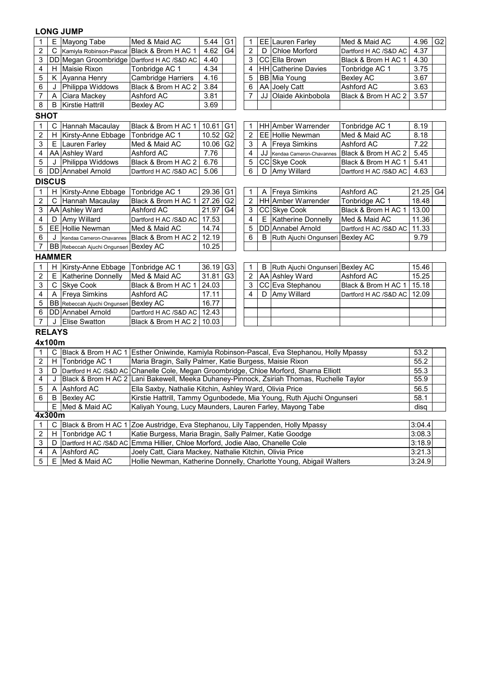| 1                                                                                     | Ε                                                 | Mayong Tabe                            | Med & Maid AC                                                                             | 5.44  | G <sub>1</sub> | 1                       |    | EE Lauren Farley                | Med & Maid AC         | 4.96       | G <sub>2</sub> |
|---------------------------------------------------------------------------------------|---------------------------------------------------|----------------------------------------|-------------------------------------------------------------------------------------------|-------|----------------|-------------------------|----|---------------------------------|-----------------------|------------|----------------|
| $\overline{2}$                                                                        | C                                                 | Kamiyla Robinson-Pascal                | Black & Brom H AC 1                                                                       | 4.62  | G <sub>4</sub> | 2                       | D  | Chloe Morford                   | Dartford H AC /S&D AC | 4.37       |                |
| 3                                                                                     |                                                   |                                        | DD Megan Groombridge Dartford H AC /S&D AC                                                | 4.40  |                | 3                       |    | CC Ella Brown                   | Black & Brom H AC 1   | 4.30       |                |
| 4                                                                                     | H                                                 | Maisie Rixon                           | Tonbridge AC 1                                                                            | 4.34  |                | 4                       |    | <b>HH Catherine Davies</b>      | Tonbridge AC 1        | 3.75       |                |
| 5                                                                                     | K                                                 | Ayanna Henry                           | <b>Cambridge Harriers</b>                                                                 | 4.16  |                | 5                       |    | BB Mia Young                    | <b>Bexley AC</b>      | 3.67       |                |
| 6                                                                                     | J                                                 | Philippa Widdows                       | Black & Brom H AC 2                                                                       | 3.84  |                | 6                       |    | AA Joely Catt                   | Ashford AC            | 3.63       |                |
| 7                                                                                     | Α                                                 | Ciara Mackey                           | Ashford AC                                                                                | 3.81  |                | 7                       | JJ | Olaide Akinbobola               | Black & Brom H AC 2   | 3.57       |                |
| 8                                                                                     | Kirstie Hattrill<br>3.69<br><b>Bexley AC</b><br>B |                                        |                                                                                           |       |                |                         |    |                                 |                       |            |                |
| <b>SHOT</b>                                                                           |                                                   |                                        |                                                                                           |       |                |                         |    |                                 |                       |            |                |
| 1                                                                                     | $\mathsf{C}$                                      | Hannah Macaulay                        | Black & Brom H AC 1                                                                       | 10.61 | G <sub>1</sub> | 1                       |    | HH Amber Warrender              | Tonbridge AC 1        | 8.19       |                |
| 2                                                                                     | H                                                 | Kirsty-Anne Ebbage                     | Tonbridge AC 1                                                                            | 10.52 | G <sub>2</sub> | $\overline{\mathbf{c}}$ |    | EE Hollie Newman                | Med & Maid AC         | 8.18       |                |
| 3                                                                                     | Е                                                 | Lauren Farley                          | Med & Maid AC                                                                             | 10.06 | G <sub>2</sub> | 3                       | Α  | <b>Freya Simkins</b>            | Ashford AC            | 7.22       |                |
| 4                                                                                     |                                                   | AA Ashley Ward                         | Ashford AC                                                                                | 7.76  |                | 4                       | JJ | Kendaa Cameron-Chavannes        | Black & Brom H AC 2   | 5.45       |                |
| 5                                                                                     | J                                                 | Philippa Widdows                       | Black & Brom H AC 2                                                                       | 6.76  |                | 5                       |    | CC Skye Cook                    | Black & Brom H AC 1   | 5.41       |                |
| 6                                                                                     |                                                   | DD Annabel Arnold                      | Dartford H AC /S&D AC                                                                     | 5.06  |                | 6                       | D  | Amy Willard                     | Dartford H AC /S&D AC | 4.63       |                |
|                                                                                       | <b>DISCUS</b>                                     |                                        |                                                                                           |       |                |                         |    |                                 |                       |            |                |
| 1                                                                                     | H                                                 | Kirsty-Anne Ebbage                     | Tonbridge AC 1                                                                            | 29.36 | G <sub>1</sub> | 1                       | A  | <b>Freya Simkins</b>            | Ashford AC            | $21.25$ G4 |                |
| 2                                                                                     | C                                                 | Hannah Macaulay                        | Black & Brom H AC 1                                                                       | 27.26 | G <sub>2</sub> | $\overline{2}$          |    | HH Amber Warrender              | Tonbridge AC 1        | 18.48      |                |
| 3                                                                                     |                                                   | AA Ashley Ward                         | Ashford AC                                                                                | 21.97 | G4             | 3                       |    | CC Skye Cook                    | Black & Brom H AC 1   | 13.00      |                |
| 4                                                                                     | D                                                 | Amy Willard                            | Dartford H AC /S&D AC                                                                     | 17.53 |                | 4                       | Е  | <b>Katherine Donnelly</b>       | Med & Maid AC         | 11.36      |                |
| 5                                                                                     |                                                   | <b>EE Hollie Newman</b>                | Med & Maid AC                                                                             | 14.74 |                | 5                       |    | DD Annabel Arnold               | Dartford H AC /S&D AC | 11.33      |                |
| 6                                                                                     | J                                                 | Kendaa Cameron-Chavannes               | Black & Brom H AC 2                                                                       | 12.19 |                | 6                       | B  | Ruth Ajuchi Ongunseri Bexley AC |                       | 9.79       |                |
| $\overline{7}$                                                                        |                                                   | BB Rebeccah Ajuchi Ongunseri Bexley AC |                                                                                           | 10.25 |                |                         |    |                                 |                       |            |                |
|                                                                                       | <b>HAMMER</b>                                     |                                        |                                                                                           |       |                |                         |    |                                 |                       |            |                |
| 1                                                                                     | $\overline{H}$                                    | Kirsty-Anne Ebbage                     | Tonbridge AC 1                                                                            | 36.19 | G <sub>3</sub> | 1                       | B  | Ruth Ajuchi Ongunseri Bexley AC |                       | 15.46      |                |
| $\overline{\mathbf{c}}$                                                               | Е                                                 | Katherine Donnelly                     | Med & Maid AC                                                                             | 31.81 | G <sub>3</sub> | $\overline{\mathbf{c}}$ |    | AA Ashley Ward                  | Ashford AC            | 15.25      |                |
| 3                                                                                     | C                                                 | Skye Cook                              | Black & Brom H AC 1                                                                       | 24.03 |                | 3                       |    | CC Eva Stephanou                | Black & Brom H AC 1   | 15.18      |                |
| 4                                                                                     | A                                                 | <b>Freya Simkins</b>                   | Ashford AC                                                                                | 17.11 |                | $\overline{\mathbf{4}}$ | D  | Amy Willard                     | Dartford H AC /S&D AC | 12.09      |                |
| 5                                                                                     |                                                   | BB Rebeccah Ajuchi Ongunseri Bexley AC |                                                                                           | 16.77 |                |                         |    |                                 |                       |            |                |
| 6                                                                                     |                                                   | DD Annabel Arnold                      | Dartford H AC /S&D AC                                                                     | 12.43 |                |                         |    |                                 |                       |            |                |
| 7                                                                                     | J                                                 | <b>Elise Swatton</b>                   | Black & Brom H AC 2                                                                       | 10.03 |                |                         |    |                                 |                       |            |                |
|                                                                                       | <b>RELAYS</b>                                     |                                        |                                                                                           |       |                |                         |    |                                 |                       |            |                |
|                                                                                       | 4x100m                                            |                                        |                                                                                           |       |                |                         |    |                                 |                       |            |                |
| 1                                                                                     | C                                                 |                                        | Black & Brom H AC 1 Esther Oniwinde, Kamiyla Robinson-Pascal, Eva Stephanou, Holly Mpassy |       |                |                         |    |                                 |                       | 53.2       |                |
| $\overline{c}$                                                                        |                                                   | H Tonbridge AC 1                       | Maria Bragin, Sally Palmer, Katie Burgess, Maisie Rixon                                   |       |                |                         |    |                                 |                       | 55.2       |                |
| 3                                                                                     | D                                                 |                                        | Dartford H AC /S&D AC Chanelle Cole, Megan Groombridge, Chloe Morford, Sharna Elliott     |       |                |                         |    |                                 |                       | 55.3       |                |
| 4                                                                                     | J                                                 |                                        | Black & Brom H AC 2 Lani Bakewell, Meeka Duhaney-Pinnock, Zsiriah Thomas, Ruchelle Taylor |       |                |                         |    |                                 |                       | 55.9       |                |
| 5                                                                                     | Α                                                 | <b>Ashford AC</b>                      | Ella Saxby, Nathalie Kitchin, Ashley Ward, Olivia Price                                   |       |                |                         |    |                                 |                       | 56.5       |                |
| 6                                                                                     | B                                                 | <b>Bexley AC</b>                       | Kirstie Hattrill, Tammy Ogunbodede, Mia Young, Ruth Ajuchi Ongunseri                      |       |                |                         |    |                                 |                       | 58.1       |                |
|                                                                                       | Ε                                                 | Med & Maid AC                          | Kaliyah Young, Lucy Maunders, Lauren Farley, Mayong Tabe                                  |       |                |                         |    |                                 |                       | disq       |                |
|                                                                                       | 4x300m                                            |                                        |                                                                                           |       |                |                         |    |                                 |                       |            |                |
| C Black & Brom H AC 1 Zoe Austridge, Eva Stephanou, Lily Tappenden, Holly Mpassy<br>1 |                                                   |                                        |                                                                                           |       |                |                         |    |                                 | 3:04.4                |            |                |

2 H Tonbridge AC 1 3:08.3 Katie Burgess, Maria Bragin, Sally Palmer, Katie Goodge 3 | D |Dartford H AC /S&D AC |Emma Hillier, Chloe Morford, Jodie Alao, Chanelle Cole |3:18.9 4 A Ashford AC 3:21.3 Joely Catt, Ciara Mackey, Nathalie Kitchin, Olivia Price 5 | E |Med & Maid AC |Hollie Newman, Katherine Donnelly, Charlotte Young, Abigail Walters |3:24.9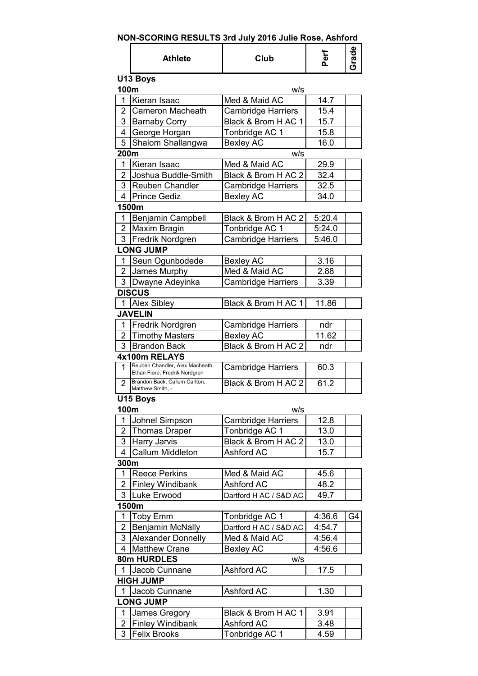# **NON-SCORING RESULTS 3rd July 2016 Julie Rose, Ashford**

|                       | <b>Athlete</b>                                                   | Club                      | Perf   |    |
|-----------------------|------------------------------------------------------------------|---------------------------|--------|----|
| 100m                  | U13 Boys                                                         | w/s                       |        |    |
| 1                     | Kieran Isaac                                                     | Med & Maid AC             | 14.7   |    |
| $\overline{2}$        | <b>Cameron Macheath</b>                                          | <b>Cambridge Harriers</b> | 15.4   |    |
| 3                     | <b>Barnaby Corry</b>                                             | Black & Brom H AC 1       | 15.7   |    |
| 4                     | George Horgan                                                    | Tonbridge AC 1            | 15.8   |    |
| 5                     | Shalom Shallangwa                                                | <b>Bexley AC</b>          | 16.0   |    |
| 200m                  |                                                                  | w/s                       |        |    |
| 1                     | Kieran Isaac                                                     | Med & Maid AC             | 29.9   |    |
| 2                     | Joshua Buddle-Smith                                              | Black & Brom H AC 2       | 32.4   |    |
| 3                     | Reuben Chandler                                                  | <b>Cambridge Harriers</b> | 32.5   |    |
| 4                     | <b>Prince Gediz</b>                                              | <b>Bexley AC</b>          | 34.0   |    |
|                       | 1500m                                                            |                           |        |    |
| 1                     | Benjamin Campbell                                                | Black & Brom H AC 2       | 5:20.4 |    |
|                       | 2   Maxim Bragin                                                 | Tonbridge AC 1            | 5:24.0 |    |
|                       | 3   Fredrik Nordgren                                             | <b>Cambridge Harriers</b> | 5:46.0 |    |
|                       | <b>LONG JUMP</b>                                                 |                           |        |    |
| 1                     | Seun Ogunbodede                                                  | <b>Bexley AC</b>          | 3.16   |    |
| 2                     | James Murphy                                                     | Med & Maid AC             | 2.88   |    |
| 3                     | Dwayne Adeyinka                                                  | <b>Cambridge Harriers</b> | 3.39   |    |
|                       | <b>DISCUS</b>                                                    |                           |        |    |
| 1                     | Alex Sibley                                                      | Black & Brom H AC 1       | 11.86  |    |
|                       | <b>JAVELIN</b>                                                   |                           |        |    |
| 1                     | Fredrik Nordgren                                                 | <b>Cambridge Harriers</b> | ndr    |    |
| $\mathbf{2}^-$        | <b>Timothy Masters</b>                                           | <b>Bexley AC</b>          | 11.62  |    |
| 3                     | <b>Brandon Back</b>                                              | Black & Brom H AC 2       | ndr    |    |
|                       | 4x100m RELAYS                                                    |                           |        |    |
| 1                     | Reuben Chandler, Alex Macheath,<br>Ethan Fiore, Fredrik Nordgren | <b>Cambridge Harriers</b> | 60.3   |    |
| $\mathbf{2}^{\prime}$ | Brandon Back, Callum Carlton,<br>Matthew Smith, -                | Black & Brom H AC 2       | 61.2   |    |
|                       | U15 Boys                                                         |                           |        |    |
| 100m                  |                                                                  | W/S                       |        |    |
| 1                     | Johnel Simpson                                                   | <b>Cambridge Harriers</b> | 12.8   |    |
| 2                     | Thomas Draper                                                    | Tonbridge AC 1            | 13.0   |    |
| 3                     | <b>Harry Jarvis</b>                                              | Black & Brom H AC 2       | 13.0   |    |
| $\overline{4}$        | Callum Middleton                                                 | Ashford AC                | 15.7   |    |
| 300m                  |                                                                  |                           |        |    |
| 1                     | <b>Reece Perkins</b>                                             | Med & Maid AC             | 45.6   |    |
| $\overline{2}$        | <b>Finley Windibank</b>                                          | Ashford AC                | 48.2   |    |
| 3                     | Luke Erwood                                                      | Dartford H AC / S&D AC    | 49.7   |    |
|                       | 1500m                                                            |                           |        |    |
| 1                     | <b>Toby Emm</b>                                                  | Tonbridge AC 1            | 4:36.6 | G4 |
| 2                     | <b>Benjamin McNally</b>                                          | Dartford H AC / S&D AC    | 4:54.7 |    |
| 3                     | <b>Alexander Donnelly</b>                                        | Med & Maid AC             | 4:56.4 |    |
| 4                     | <b>Matthew Crane</b>                                             | <b>Bexley AC</b>          | 4:56.6 |    |
|                       | 80m HURDLES                                                      | W/S                       |        |    |
| 1                     | Jacob Cunnane                                                    | Ashford AC                | 17.5   |    |
|                       | <b>HIGH JUMP</b>                                                 |                           |        |    |
| 1                     | Jacob Cunnane                                                    | <b>Ashford AC</b>         | 1.30   |    |
|                       | <b>LONG JUMP</b>                                                 |                           |        |    |
| 1                     | James Gregory                                                    | Black & Brom H AC 1       | 3.91   |    |
| 2                     | <b>Finley Windibank</b>                                          | <b>Ashford AC</b>         | 3.48   |    |
| 3                     | <b>Felix Brooks</b>                                              | Tonbridge AC 1            | 4.59   |    |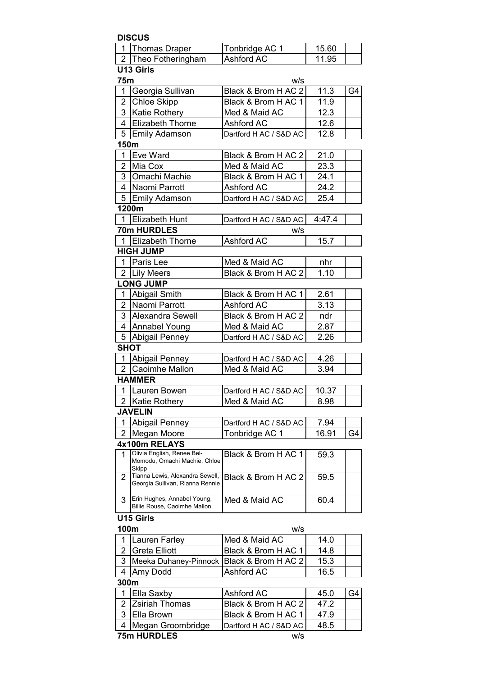|                | <b>DISCUS</b>                                                       |                                          |             |    |
|----------------|---------------------------------------------------------------------|------------------------------------------|-------------|----|
| $\mathbf{1}$   | Thomas Draper                                                       | Tonbridge AC 1                           | 15.60       |    |
|                | 2 Theo Fotheringham                                                 | <b>Ashford AC</b>                        | 11.95       |    |
|                | U13 Girls                                                           |                                          |             |    |
| 75m            |                                                                     | w/s                                      |             |    |
| 1              | Georgia Sullivan                                                    | Black & Brom H AC 2                      | 11.3        | G4 |
| $\overline{2}$ | <b>Chloe Skipp</b>                                                  | Black & Brom H AC 1                      | 11.9        |    |
| 3              | Katie Rothery                                                       | Med & Maid AC                            | 12.3        |    |
| 4              | <b>Elizabeth Thorne</b>                                             | <b>Ashford AC</b>                        | 12.6        |    |
|                | 5 Emily Adamson                                                     | Dartford H AC / S&D AC                   | 12.8        |    |
| 150m           |                                                                     |                                          |             |    |
| 1              | Eve Ward                                                            | Black & Brom H AC 2                      | 21.0        |    |
| $\overline{2}$ | Mia Cox                                                             | Med & Maid AC                            | 23.3        |    |
| 3 <sup>1</sup> | Omachi Machie                                                       | Black & Brom H AC 1                      | 24.1        |    |
| $\overline{4}$ | Naomi Parrott                                                       | Ashford AC                               | 24.2        |    |
| 5              | <b>Emily Adamson</b>                                                | Dartford H AC / S&D AC                   | 25.4        |    |
|                | 1200m                                                               |                                          |             |    |
|                | 1 Elizabeth Hunt                                                    | Dartford H AC / S&D AC                   | 4:47.4      |    |
|                | 70m HURDLES                                                         | w/s                                      |             |    |
|                | 1 Elizabeth Thorne                                                  | Ashford AC                               | 15.7        |    |
|                | <b>HIGH JUMP</b>                                                    |                                          |             |    |
| $\mathbf 1$    | Paris Lee                                                           | Med & Maid AC                            | nhr<br>1.10 |    |
|                | 2 Lily Meers<br><b>LONG JUMP</b>                                    | Black & Brom H AC 2                      |             |    |
| 1              |                                                                     |                                          | 2.61        |    |
| $\overline{2}$ | Abigail Smith<br>Naomi Parrott                                      | Black & Brom H AC 1<br><b>Ashford AC</b> | 3.13        |    |
| 3              | Alexandra Sewell                                                    | Black & Brom H AC 2                      | ndr         |    |
|                |                                                                     | Med & Maid AC                            | 2.87        |    |
| 5              | 4 Annabel Young<br>Abigail Penney                                   | Dartford H AC / S&D AC                   | 2.26        |    |
| <b>SHOT</b>    |                                                                     |                                          |             |    |
| $\mathbf 1$    | Abigail Penney                                                      | Dartford H AC / S&D AC                   | 4.26        |    |
|                | 2 Caoimhe Mallon                                                    | Med & Maid AC                            | 3.94        |    |
|                | <b>HAMMER</b>                                                       |                                          |             |    |
|                | 1 Lauren Bowen                                                      | Dartford H AC / S&D AC                   | 10.37       |    |
| $\overline{2}$ | Katie Rothery                                                       | Med & Maid AC                            | 8.98        |    |
|                | <b>JAVELIN</b>                                                      |                                          |             |    |
| 1              | Abigail Penney                                                      | Dartford H AC / S&D AC                   | 7.94        |    |
| $\overline{2}$ | Megan Moore                                                         | Tonbridge AC 1                           | 16.91       | G4 |
|                | 4x100m RELAYS                                                       |                                          |             |    |
| 1              | Olivia English, Renee Bel-<br>Momodu, Omachi Machie, Chloe<br>Skipp | Black & Brom H AC 1                      | 59.3        |    |
| $\overline{2}$ | Tianna Lewis, Alexandra Sewell,<br>Georgia Sullivan, Rianna Rennie  | Black & Brom H AC 2                      | 59.5        |    |
| 3              | Erin Hughes, Annabel Young,<br>Billie Rouse, Caoimhe Mallon         | Med & Maid AC                            | 60.4        |    |
| 100m           | U15 Girls                                                           | w/s                                      |             |    |
| 1              | Lauren Farley                                                       | Med & Maid AC                            | 14.0        |    |
| $\overline{2}$ | <b>Greta Elliott</b>                                                | Black & Brom H AC 1                      | 14.8        |    |
| 3              | Meeka Duhaney-Pinnock                                               | Black & Brom H AC 2                      | 15.3        |    |
| 4              | Amy Dodd                                                            | Ashford AC                               | 16.5        |    |
| 300m           |                                                                     |                                          |             |    |
| 1              | Ella Saxby                                                          | Ashford AC                               | 45.0        | G4 |
| 2              | <b>Zsiriah Thomas</b>                                               | Black & Brom H AC 2                      | 47.2        |    |
| 3              | Ella Brown                                                          | Black & Brom H AC 1                      | 47.9        |    |
| 4              | Megan Groombridge                                                   | Dartford H AC / S&D AC                   | 48.5        |    |
|                | 75m HURDLES                                                         | w/s                                      |             |    |